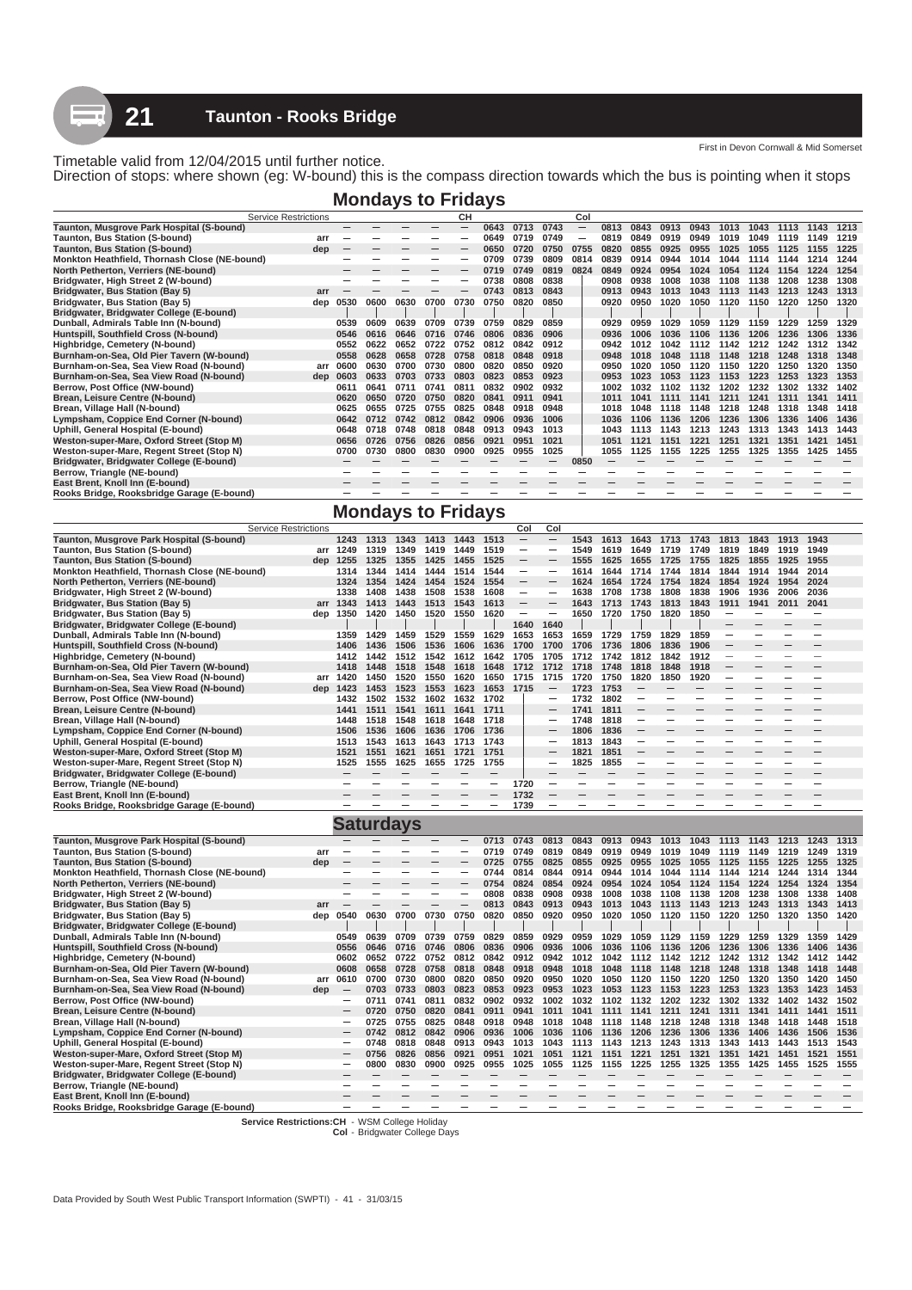First in Devon Cornwall & Mid Somerset

Direction of stops: where shown (eg: W-bound) this is the compass direction towards which the bus is pointing when it stops

|                                                                                                                                                                                                |      | <b>Mondays to Fridays</b> |      |               |      |      |      |      |      |      |      |      |      |      |      |      |      |      |
|------------------------------------------------------------------------------------------------------------------------------------------------------------------------------------------------|------|---------------------------|------|---------------|------|------|------|------|------|------|------|------|------|------|------|------|------|------|
| <b>Service Restrictions</b>                                                                                                                                                                    |      |                           |      |               | CН   |      |      |      | Col  |      |      |      |      |      |      |      |      |      |
| Taunton, Musgrove Park Hospital (S-bound)                                                                                                                                                      |      |                           |      |               | –    | 0643 | 0713 | 0743 |      | 0813 | 0843 | 0913 | 0943 | 1013 | 1043 | 1113 | 1143 | 1213 |
| Taunton, Bus Station (S-bound)<br>arı                                                                                                                                                          |      |                           |      |               |      | 0649 | 0719 | 0749 |      | 0819 | 0849 | 0919 | 0949 | 1019 | 1049 | 1119 | 1149 | 1219 |
| Taunton, Bus Station (S-bound)<br>dep                                                                                                                                                          |      |                           |      |               |      | 0650 | 0720 | 0750 | 0755 | 0820 | 0855 | 0925 | 0955 | 1025 | 1055 | 1125 | 1155 | 1225 |
| Monkton Heathfield, Thornash Close (NE-bound)                                                                                                                                                  |      |                           |      |               |      | 0709 | 0739 | 0809 | 0814 | 0839 | 0914 | 0944 | 1014 | 1044 | 1114 | 1144 | 1214 | 1244 |
| North Petherton, Verriers (NE-bound)                                                                                                                                                           |      |                           |      |               |      | 0719 | 0749 | 0819 | 0824 | 0849 | 0924 | 0954 | 1024 | 1054 | 1124 | 1154 | 1224 | 1254 |
| Bridgwater, High Street 2 (W-bound)                                                                                                                                                            |      |                           |      |               |      | 0738 | 0808 | 0838 |      | 0908 | 0938 | 1008 | 1038 | 1108 | 1138 | 1208 | 1238 | 1308 |
| 0843<br>Bridgwater, Bus Station (Bay 5)<br>0813<br>0943<br>0743<br>0913<br>arr                                                                                                                 |      |                           |      |               |      |      |      |      |      |      |      |      |      |      | 1143 | 1213 | 1243 | 1313 |
| 1013<br>1043<br>1113<br>Bridgwater, Bus Station (Bay 5)<br>0850<br>0530<br>0600<br>0630<br>0700<br>0730<br>0750<br>0820<br>0920<br>0950<br>1020<br>1220<br>1250<br>1050<br>1120<br>1150<br>dep |      |                           |      |               |      |      |      |      |      |      |      |      |      |      | 1320 |      |      |      |
| Bridgwater, Bridgwater College (E-bound)                                                                                                                                                       |      |                           |      |               |      |      |      |      |      |      |      |      |      |      |      |      |      |      |
| Dunball, Admirals Table Inn (N-bound)                                                                                                                                                          | 0539 | 0609                      | 0639 | 0709          | 0739 | 0759 | 0829 | 0859 |      | 0929 | 0959 | 1029 | 1059 | 1129 | 1159 | 1229 | 1259 | 1329 |
| Huntspill, Southfield Cross (N-bound)                                                                                                                                                          | 0546 | 0616                      | 0646 | 0716          | 0746 | 0806 | 0836 | 0906 |      | 0936 | 1006 | 1036 | 1106 | 1136 | 1206 | 1236 | 1306 | 1336 |
| Highbridge, Cemetery (N-bound)                                                                                                                                                                 | 0552 | 0622                      | 0652 | 0722          | 0752 | 0812 | 0842 | 0912 |      | 0942 | 1012 | 1042 | 1112 | 1142 | 1212 | 1242 | 1312 | 1342 |
| Burnham-on-Sea, Old Pier Tavern (W-bound)                                                                                                                                                      | 0558 | 0628                      | 0658 | 0728          | 0758 | 0818 | 0848 | 0918 |      | 0948 | 1018 | 1048 | 1118 | 1148 | 1218 | 1248 | 1318 | 1348 |
| Burnham-on-Sea, Sea View Road (N-bound)<br>arr                                                                                                                                                 | 0600 | 0630                      | 0700 | 0730          | 0800 | 0820 | 0850 | 0920 |      | 0950 | 1020 | 1050 | 1120 | 1150 | 1220 | 1250 | 1320 | 1350 |
| Burnham-on-Sea, Sea View Road (N-bound)<br>dep                                                                                                                                                 | 0603 | 0633                      | 0703 | 0733          | 0803 | 0823 | 0853 | 0923 |      | 0953 | 1023 | 1053 | 1123 | 1153 | 1223 | 1253 | 1323 | 1353 |
| Berrow, Post Office (NW-bound)                                                                                                                                                                 | 0611 | 0641                      | 0711 | $074^{\circ}$ | 0811 | 0832 | 0902 | 0932 |      | 1002 | 1032 | 1102 | 1132 | 1202 | 1232 | 1302 | 1332 | 1402 |
| Brean, Leisure Centre (N-bound)                                                                                                                                                                | 0620 | 0650                      | 0720 | 0750          | 0820 | 0841 | 0911 | 0941 |      | 1011 | 1041 | 1111 | 1141 | 1211 | 1241 | 1311 | 1341 | 1411 |
| Brean, Village Hall (N-bound)                                                                                                                                                                  | 0625 | 0655                      | 0725 | 0755          | 0825 | 0848 | 0918 | 0948 |      | 1018 | 1048 | 1118 | 1148 | 1218 | 1248 | 1318 | 1348 | 1418 |
| Lympsham, Coppice End Corner (N-bound)                                                                                                                                                         | 0642 | 0712                      | 0742 | 0812          | 0842 | 0906 | 0936 | 1006 |      | 1036 | 1106 | 1136 | 1206 | 1236 | 1306 | 1336 | 1406 | 1436 |
| Uphill, General Hospital (E-bound)                                                                                                                                                             | 0648 | 0718                      | 0748 | 0818          | 0848 | 0913 | 0943 | 1013 |      | 1043 |      | 1143 | 1213 | 1243 | 1313 | 1343 | 1413 | 1443 |
| Weston-super-Mare, Oxford Street (Stop M)                                                                                                                                                      | 0656 | 0726                      | 0756 | 0826          | 0856 | 0921 | 0951 | 1021 |      | 1051 | 1121 | 1151 | 1221 | 1251 | 1321 | 1351 | 1421 | 1451 |
| Weston-super-Mare, Regent Street (Stop N)                                                                                                                                                      | 0700 | 0730                      | 0800 | 0830          | 0900 | 0925 | 0955 | 1025 |      | 1055 | 1125 | 1155 | 1225 | 1255 | 1325 | 1355 | 1425 | 1455 |
| Bridgwater, Bridgwater College (E-bound)                                                                                                                                                       |      |                           |      |               |      |      |      |      | 0850 |      |      |      |      |      |      |      |      |      |
| Berrow, Triangle (NE-bound)                                                                                                                                                                    |      |                           |      |               |      |      |      |      |      |      |      |      |      |      |      |      |      |      |
| East Brent, Knoll Inn (E-bound)                                                                                                                                                                |      |                           |      |               |      |      |      |      |      |      |      |      |      |      |      |      |      |      |
| Rooks Bridge, Rooksbridge Garage (E-bound)                                                                                                                                                     |      |                           |      |               |      |      |      |      |      |      |      |      |      |      |      |      |      |      |

# **Mondays to Fridays**

|                                                                               | <b>Service Restrictions</b> |                          |                          |           |          |                          |                          | Col                      | Col                      |                          |      |                          |                          |      |      |      |                          |      |                          |
|-------------------------------------------------------------------------------|-----------------------------|--------------------------|--------------------------|-----------|----------|--------------------------|--------------------------|--------------------------|--------------------------|--------------------------|------|--------------------------|--------------------------|------|------|------|--------------------------|------|--------------------------|
| Taunton, Musgrove Park Hospital (S-bound)                                     |                             | 1243                     | 1313                     | 1343      | 1413     | 1443                     | 1513                     | $\overline{\phantom{a}}$ | $\overline{\phantom{m}}$ | 1543                     | 1613 | 1643                     | 1713                     | 1743 | 1813 | 1843 | 1913                     | 1943 |                          |
| Taunton, Bus Station (S-bound)                                                |                             | arr 1249                 | 1319                     | 1349      | 1419     | 1449                     | 1519                     | $\overline{\phantom{m}}$ | $\overline{\phantom{m}}$ | 1549                     | 1619 | 1649                     | 1719                     | 1749 | 1819 | 1849 | 1919                     | 1949 |                          |
| Taunton, Bus Station (S-bound)                                                |                             | dep 1255                 | 1325                     | 1355      | 1425     | 1455                     | 1525                     |                          |                          | 1555                     | 1625 | 1655                     | 1725                     | 1755 | 1825 | 1855 | 1925                     | 1955 |                          |
| Monkton Heathfield, Thornash Close (NE-bound)                                 |                             | 1314                     | 1344                     | 1414      | 1444     | 1514                     | 1544                     | $\overline{\phantom{m}}$ |                          | 1614                     | 1644 | 1714                     | 1744                     | 1814 | 1844 | 1914 | 1944                     | 2014 |                          |
| North Petherton, Verriers (NE-bound)                                          |                             | 1324                     | 1354                     | 1424      | 1454     | 1524                     | 1554                     |                          |                          | 1624                     | 1654 | 1724                     | 1754                     | 1824 | 1854 | 1924 | 1954                     | 2024 |                          |
| Bridgwater, High Street 2 (W-bound)                                           |                             | 1338                     | 1408                     | 1438      | 1508     | 1538                     | 1608                     | $\overline{\phantom{m}}$ | $\overline{\phantom{m}}$ | 1638                     | 1708 | 1738                     | 1808                     | 1838 | 1906 | 1936 | 2006                     | 2036 |                          |
| Bridgwater, Bus Station (Bay 5)                                               |                             | arr 1343                 | 1413                     | 1443      | 1513     | 1543                     | 1613                     | $\overline{\phantom{m}}$ |                          | 1643                     | 1713 | 1743                     | 1813                     | 1843 | 1911 | 1941 | 2011                     | 2041 |                          |
| Bridgwater, Bus Station (Bay 5)                                               |                             | dep 1350                 | 1420                     | 1450      | 1520     | 1550                     | 1620                     | $\overline{\phantom{0}}$ | $\overline{\phantom{a}}$ | 1650                     | 1720 | 1750                     | 1820                     | 1850 |      |      |                          |      |                          |
| Bridgwater, Bridgwater College (E-bound)                                      |                             |                          |                          |           |          |                          |                          | 1640                     | 1640                     |                          |      |                          |                          |      |      |      |                          |      |                          |
| Dunball, Admirals Table Inn (N-bound)                                         |                             | 1359                     | 1429                     | 1459      | 1529     | 1559                     | 1629                     | 1653                     | 1653                     | 1659                     | 1729 | 1759                     | 1829                     | 1859 | -    |      |                          |      |                          |
| Huntspill, Southfield Cross (N-bound)                                         |                             | 1406                     | 1436                     | 1506      | 1536     | 1606                     | 1636                     | 1700                     | 1700                     | 1706                     | 1736 | 1806                     | 1836                     | 1906 |      |      |                          |      |                          |
| Highbridge, Cemetery (N-bound)                                                |                             | 1412                     | 1442                     | 1512      | 1542     | 1612                     | 1642                     | 1705                     | 1705                     | 1712                     | 1742 | 1812                     | 1842                     | 1912 | -    | ۰    | -                        |      |                          |
| Burnham-on-Sea, Old Pier Tavern (W-bound)                                     |                             | 1418                     | 1448                     | 1518      | 1548     | 1618                     | 1648                     | 1712                     | 1712                     | 1718                     | 1748 | 1818                     | 1848                     | 1918 |      |      |                          |      |                          |
| Burnham-on-Sea, Sea View Road (N-bound)                                       |                             | arr 1420                 | 1450                     | 1520      | 1550     | 1620                     | 1650                     | 1715                     | 1715                     | 1720                     | 1750 | 1820                     | 1850                     | 1920 | -    |      | -                        |      |                          |
| Burnham-on-Sea, Sea View Road (N-bound)                                       |                             | dep 1423                 | 1453                     | 1523      | 1553     | 1623                     | 1653                     | 1715                     |                          | 1723                     | 1753 |                          |                          |      |      |      |                          |      |                          |
| Berrow, Post Office (NW-bound)                                                |                             | 1432                     | 1502                     | 1532      | 1602     | 1632                     | 1702                     |                          |                          | 1732                     | 1802 | -                        |                          |      |      |      |                          |      |                          |
| Brean, Leisure Centre (N-bound)                                               |                             | 1441                     | 1511                     | 1541      | 1611     | 1641                     | 1711                     |                          |                          | 1741                     | 1811 |                          |                          |      |      |      |                          |      |                          |
| Brean, Village Hall (N-bound)                                                 |                             | 1448                     | 1518                     | 1548      | 1618     | 1648                     | 1718                     |                          | -                        | 1748                     | 1818 |                          | $\overline{\phantom{a}}$ |      |      | -    | $\overline{\phantom{a}}$ |      |                          |
| Lympsham, Coppice End Corner (N-bound)                                        |                             | 1506                     | 1536                     | 1606      | 1636     | 1706                     | 1736                     |                          |                          | 1806                     | 1836 |                          |                          |      |      |      |                          |      |                          |
| Uphill, General Hospital (E-bound)                                            |                             | 1513                     | 1543                     | 1613      | 1643     | 1713                     | 1743                     |                          | -                        | 1813                     | 1843 | $\overline{\phantom{m}}$ | -                        |      |      |      | -                        |      |                          |
| Weston-super-Mare, Oxford Street (Stop M)                                     |                             | 1521                     | 1551                     | 1621      | 1651     | 1721                     | 1751                     |                          |                          | 1821                     | 1851 |                          |                          |      |      |      |                          |      |                          |
| Weston-super-Mare, Regent Street (Stop N)                                     |                             | 1525                     | 1555                     | 1625      | 1655     | 1725                     | 1755                     |                          | $\overline{\phantom{0}}$ | 1825                     | 1855 |                          |                          |      |      |      |                          |      |                          |
| Bridgwater, Bridgwater College (E-bound)                                      |                             |                          |                          |           |          |                          |                          |                          |                          |                          |      |                          |                          |      |      |      |                          |      |                          |
| Berrow, Triangle (NE-bound)                                                   |                             |                          |                          |           |          |                          |                          | 1720                     |                          |                          |      |                          |                          |      |      |      |                          |      |                          |
| East Brent, Knoll Inn (E-bound)                                               |                             |                          |                          |           |          |                          |                          | 1732                     |                          |                          |      |                          |                          |      |      |      |                          |      |                          |
| Rooks Bridge, Rooksbridge Garage (E-bound)                                    |                             |                          |                          |           |          |                          | $\overline{\phantom{0}}$ | 1739                     | $\overline{\phantom{0}}$ |                          |      |                          |                          |      |      |      |                          |      |                          |
|                                                                               |                             |                          |                          |           |          |                          |                          |                          |                          |                          |      |                          |                          |      |      |      |                          |      |                          |
|                                                                               |                             |                          |                          |           |          |                          |                          |                          |                          |                          |      |                          |                          |      |      |      |                          |      |                          |
|                                                                               |                             |                          |                          |           |          |                          |                          |                          |                          |                          |      |                          |                          |      |      |      |                          |      |                          |
|                                                                               |                             |                          |                          | Saturdays |          |                          |                          |                          |                          |                          |      |                          |                          |      |      |      |                          |      |                          |
| Taunton, Musgrove Park Hospital (S-bound)                                     |                             |                          |                          |           | $\equiv$ | $\overline{\phantom{0}}$ | 0713                     | 0743                     | 0813                     | 0843                     | 0913 | 0943                     | 1013                     | 1043 | 1113 | 1143 | 1213                     | 1243 | 1313                     |
| Taunton, Bus Station (S-bound)                                                | arr                         |                          |                          |           |          |                          | 0719                     | 0749                     | 0819                     | 0849                     | 0919 | 0949                     | 1019                     | 1049 | 1119 | 1149 | 1219                     | 1249 | 1319                     |
| Taunton, Bus Station (S-bound)                                                | dep                         |                          |                          |           |          |                          | 0725                     | 0755                     | 0825                     | 0855                     | 0925 | 0955                     | 1025                     | 1055 | 1125 | 1155 | 1225                     | 1255 | 1325                     |
| Monkton Heathfield, Thornash Close (NE-bound)                                 |                             |                          |                          |           |          |                          | 0744                     | 0814                     | 0844                     | 0914                     | 0944 | 1014                     | 1044                     | 1114 | 1144 | 1214 | 1244                     | 1314 | 1344                     |
| North Petherton, Verriers (NE-bound)                                          |                             |                          | $\overline{\phantom{a}}$ |           | -        | -                        | 0754                     | 0824                     | 0854                     | 0924                     | 0954 | 1024                     | 1054                     | 1124 | 1154 | 1224 | 1254                     | 1324 | 1354                     |
| Bridgwater, High Street 2 (W-bound)                                           |                             |                          |                          |           |          |                          | 0808                     | 0838                     | 0908                     | 0938                     | 1008 | 1038                     | 1108                     | 1138 | 1208 | 1238 | 1308                     | 1338 | 1408                     |
| Bridgwater, Bus Station (Bay 5)                                               | arr                         |                          |                          |           |          |                          | 0813                     | 0843                     | 0913                     | 0943                     | 1013 | 1043                     | 1113                     | 1143 | 1213 | 1243 | 1313                     | 1343 | 1413                     |
| Bridgwater, Bus Station (Bay 5)                                               | dep                         | 0540                     | 0630                     | 0700      | 0730     | 0750                     | 0820                     | 0850                     | 0920                     | 0950                     | 1020 | 1050                     | 1120                     | 1150 | 1220 | 1250 | 1320                     | 1350 | 1420                     |
| Bridgwater, Bridgwater College (E-bound)                                      |                             |                          |                          |           |          |                          |                          |                          |                          |                          |      |                          |                          |      |      |      |                          |      |                          |
| Dunball, Admirals Table Inn (N-bound)                                         |                             | 0549                     | 0639                     | 0709      | 0739     | 0759                     | 0829                     | 0859                     | 0929                     | 0959                     | 1029 | 1059                     | 1129                     | 1159 | 1229 | 1259 | 1329                     | 1359 | 1429                     |
| Huntspill, Southfield Cross (N-bound)                                         |                             | 0556                     | 0646                     | 0716      | 0746     | 0806                     | 0836                     | 0906                     | 0936                     | 1006                     | 1036 | 1106                     | 1136                     | 1206 | 1236 | 1306 | 1336                     | 1406 | 1436                     |
| Highbridge, Cemetery (N-bound)                                                |                             | 0602                     | 0652                     | 0722      | 0752     | 0812                     | 0842                     | 0912                     | 0942                     | 1012                     | 1042 | 1112                     | 1142                     | 1212 | 1242 | 1312 | 1342                     | 1412 | 1442                     |
| Burnham-on-Sea, Old Pier Tavern (W-bound)                                     |                             | 0608                     | 0658                     | 0728      | 0758     | 0818                     | 0848                     | 0918                     | 0948                     | 1018                     | 1048 | 1118                     | 1148                     | 1218 | 1248 | 1318 | 1348                     | 1418 | 1448                     |
| Burnham-on-Sea, Sea View Road (N-bound)                                       | arr                         | 0610                     | 0700                     | 0730      | 0800     | 0820                     | 0850                     | 0920                     | 0950                     | 1020                     | 1050 | 1120                     | 1150                     | 1220 | 1250 | 1320 | 1350                     | 1420 | 1450                     |
| Burnham-on-Sea, Sea View Road (N-bound)                                       | dep                         |                          | 0703                     | 0733      | 0803     | 0823                     | 0853                     | 0923                     | 0953                     | 1023                     | 1053 | 1123                     | 1153                     | 1223 | 1253 | 1323 | 1353                     | 1423 | 1453                     |
| Berrow, Post Office (NW-bound)                                                |                             |                          | 0711                     | 0741      | 0811     | 0832                     | 0902                     | 0932                     | 1002                     | 1032                     | 1102 | 1132                     | 1202                     | 1232 | 1302 | 1332 | 1402                     | 1432 | 1502                     |
| Brean, Leisure Centre (N-bound)                                               |                             |                          | 0720                     | 0750      | 0820     | 0841                     | 0911                     | 0941                     | 1011                     | 1041                     | 1111 | 1141                     | 1211                     | 1241 | 1311 | 1341 | 1411                     | 1441 | 1511                     |
| Brean, Village Hall (N-bound)                                                 |                             |                          | 0725                     | 0755      | 0825     | 0848                     | 0918                     | 0948                     | 1018                     | 1048                     | 1118 | 1148                     | 1218                     | 1248 | 1318 | 1348 | 1418                     | 1448 | 1518                     |
| Lympsham, Coppice End Corner (N-bound)                                        |                             | $\overline{\phantom{a}}$ | 0742                     | 0812      | 0842     | 0906                     | 0936                     | 1006                     | 1036                     | 1106                     | 1136 | 1206                     | 1236                     | 1306 | 1336 | 1406 | 1436                     | 1506 | 1536                     |
| Uphill, General Hospital (E-bound)                                            |                             |                          | 0748                     | 0818      | 0848     | 0913                     | 0943                     | 1013                     | 1043                     | 1113                     | 1143 | 1213                     | 1243                     | 1313 | 1343 | 1413 | 1443                     | 1513 | 1543                     |
| Weston-super-Mare, Oxford Street (Stop M)                                     |                             | -                        | 0756                     | 0826      | 0856     | 0921                     | 0951                     | 1021                     | 1051                     | 1121                     | 1151 | 1221                     | 1251                     | 1321 | 1351 | 1421 | 1451                     | 1521 | 1551                     |
| Weston-super-Mare, Regent Street (Stop N)                                     |                             |                          | 0800                     | 0830      | 0900     | 0925                     | 0955                     | 1025                     | 1055                     | 1125                     | 1155 | 1225                     | 1255                     | 1325 | 1355 | 1425 | 1455                     | 1525 | 1555                     |
| Bridgwater, Bridgwater College (E-bound)                                      |                             |                          | -                        |           | -        |                          |                          |                          |                          | $\overline{\phantom{0}}$ |      | —                        |                          |      |      |      |                          |      | $\overline{\phantom{0}}$ |
| Berrow, Triangle (NE-bound)                                                   |                             |                          |                          |           |          |                          |                          |                          |                          |                          |      |                          |                          |      |      |      |                          |      |                          |
| East Brent, Knoll Inn (E-bound)<br>Rooks Bridge, Rooksbridge Garage (E-bound) |                             |                          |                          |           |          |                          |                          |                          |                          |                          |      |                          |                          |      |      |      |                          |      |                          |

**Service Restrictions:CH** - WSM College Holiday **Col** - Bridgwater College Days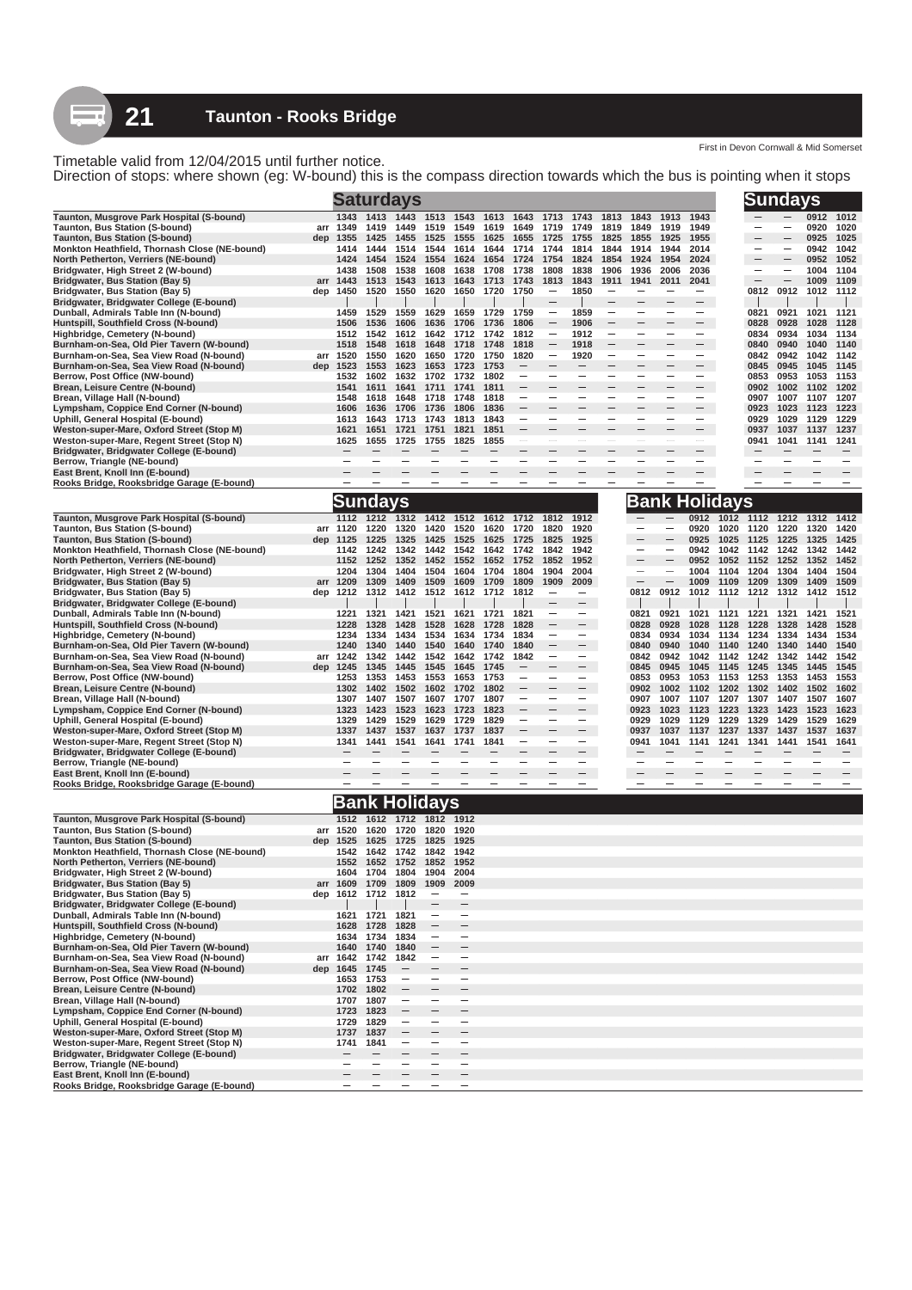First in Devon Cornwall & Mid Somerset

Direction of stops: where shown (eg: W-bound) this is the compass direction towards which the bus is pointing when it stops

|                                                                                        |     |                          |                            | <b>Saturdays</b>       |                   |                                                      |              |                          |                          |                          |                                  |                                  |                          |                                               |              | <b>Sundays</b>           |              |              |                          |
|----------------------------------------------------------------------------------------|-----|--------------------------|----------------------------|------------------------|-------------------|------------------------------------------------------|--------------|--------------------------|--------------------------|--------------------------|----------------------------------|----------------------------------|--------------------------|-----------------------------------------------|--------------|--------------------------|--------------|--------------|--------------------------|
| Taunton, Musgrove Park Hospital (S-bound)                                              |     | 1343                     | 1413                       | 1443                   | 1513              | 1543                                                 | 1613         | 1643                     | 1713                     | 1743                     | 1813                             | 1843                             | 1913                     | 1943                                          |              |                          |              | 0912         | 1012                     |
| Taunton, Bus Station (S-bound)                                                         | dep | arr 1349<br>1355         | 1419<br>1425               | 1449<br>1455           | 1519<br>1525      | 1549<br>1555                                         | 1619<br>1625 | 1649<br>1655             | 1719<br>1725             | 1749<br>1755             | 1819<br>1825                     | 1849<br>1855                     | 1919<br>1925             | 1949<br>1955                                  |              |                          |              | 0920<br>0925 | 1020<br>1025             |
| <b>Taunton, Bus Station (S-bound)</b><br>Monkton Heathfield, Thornash Close (NE-bound) |     | 1414                     | 1444                       | 1514                   | 1544              | 1614                                                 | 1644         | 1714                     | 1744                     | 1814                     | 1844                             | 1914                             | 1944                     | 2014                                          |              | $\overline{\phantom{0}}$ |              | 0942         | 1042                     |
| North Petherton, Verriers (NE-bound)                                                   |     | 1424                     | 1454                       | 1524                   | 1554              | 1624                                                 | 1654         | 1724                     | 1754                     | 1824                     | 1854                             | 1924                             | 1954                     | 2024                                          |              | -                        |              | 0952         | 1052                     |
| Bridgwater, High Street 2 (W-bound)                                                    |     | 1438                     | 1508                       | 1538                   | 1608              | 1638                                                 | 1708         | 1738                     | 1808                     | 1838                     | 1906                             | 1936                             | 2006                     | 2036                                          |              | $\overline{\phantom{0}}$ |              | 1004         | 1104                     |
| <b>Bridgwater, Bus Station (Bay 5)</b><br><b>Bridgwater, Bus Station (Bay 5)</b>       | arr | 1443<br>dep 1450         | 1513<br>1520               | 1543<br>1550           | 1613<br>1620      | 1643<br>1650                                         | 1713<br>1720 | 1743<br>1750             | 1813                     | 1843<br>1850             | 1911<br>$\overline{\phantom{0}}$ | 1941<br>$\overline{\phantom{0}}$ | 2011                     | 2041<br>$\overline{\phantom{m}}$              |              | 0812                     | 0912         | 1009<br>1012 | 1109<br>1112             |
| Bridgwater, Bridgwater College (E-bound)                                               |     |                          |                            |                        |                   |                                                      |              |                          |                          |                          |                                  |                                  |                          | $\overline{\phantom{0}}$                      |              |                          |              |              |                          |
| Dunball, Admirals Table Inn (N-bound)                                                  |     | 1459                     | 1529                       | 1559                   | 1629              | 1659                                                 | 1729         | 1759                     |                          | 1859                     |                                  |                                  |                          |                                               |              | 0821                     | 0921         | 1021         | 1121                     |
| Huntspill, Southfield Cross (N-bound)<br>Highbridge, Cemetery (N-bound)                |     | 1506<br>1512             | 1536<br>1542               | 1606<br>1612           | 1636<br>1642      | 1706<br>1712                                         | 1736<br>1742 | 1806<br>1812             |                          | 1906<br>1912             | $\overline{\phantom{0}}$         |                                  |                          | $\overline{\phantom{m}}$<br>$\qquad \qquad -$ |              | 0828<br>0834             | 0928<br>0934 | 1028<br>1034 | 1128<br>1134             |
| Burnham-on-Sea, Old Pier Tavern (W-bound)                                              |     | 1518                     | 1548                       | 1618                   | 1648              | 1718                                                 | 1748         | 1818                     | $\overline{\phantom{0}}$ | 1918                     |                                  |                                  |                          |                                               |              | 0840                     | 0940         | 1040         | 1140                     |
| Burnham-on-Sea, Sea View Road (N-bound)                                                |     | arr 1520                 | 1550                       | 1620                   | 1650              | 1720                                                 | 1750         | 1820                     |                          | 1920                     | $\overline{\phantom{0}}$         | -                                |                          | $\overline{\phantom{m}}$                      |              | 0842                     | 0942         | 1042         | 1142                     |
| Burnham-on-Sea, Sea View Road (N-bound)                                                |     | dep 1523                 | 1553                       | 1623                   | 1653              | 1723                                                 | 1753<br>1802 |                          |                          | -                        | -                                |                                  | -                        |                                               |              | 0845                     | 0945         | 1045         | 1145                     |
| Berrow, Post Office (NW-bound)<br>Brean, Leisure Centre (N-bound)                      |     | 1532<br>1541             | 1602<br>1611               | 1632<br>1641           | 1702<br>1711      | 1732<br>1741                                         | 1811         |                          | $\qquad \qquad$          |                          |                                  |                                  |                          | $\overline{\phantom{m}}$                      |              | 0853<br>0902             | 0953<br>1002 | 1053<br>1102 | 1153<br>1202             |
| Brean, Village Hall (N-bound)                                                          |     | 1548                     | 1618                       | 1648                   | 1718              | 1748                                                 | 1818         |                          |                          |                          |                                  |                                  |                          |                                               |              | 0907                     | 1007         | 1107         | 1207                     |
| Lympsham, Coppice End Corner (N-bound)                                                 |     | 1606                     | 1636                       | 1706                   | 1736              | 1806                                                 | 1836         |                          |                          |                          |                                  |                                  |                          | $\qquad \qquad -$                             |              | 0923                     | 1023         | 1123         | 1223                     |
| Uphill, General Hospital (E-bound)<br>Weston-super-Mare, Oxford Street (Stop M)        |     | 1613<br>1621             | 1643<br>1651               | 1713<br>1721           | 1743<br>1751      | 1813<br>1821                                         | 1843<br>1851 | -                        | -                        | -                        | -                                | -                                |                          | $\qquad \qquad -$                             |              | 0929<br>0937             | 1029<br>1037 | 1129<br>1137 | 1229<br>1237             |
| Weston-super-Mare, Regent Street (Stop N)                                              |     | 1625                     | 1655                       | 1725                   | 1755              | 1825                                                 | 1855         | -                        | -                        | -                        |                                  | -                                | $\overline{\phantom{0}}$ |                                               |              | 0941                     | 1041         | 1141         | 1241                     |
| Bridgwater, Bridgwater College (E-bound)                                               |     |                          |                            |                        |                   |                                                      |              |                          |                          |                          |                                  |                                  |                          | $\qquad \qquad -$                             |              |                          |              |              |                          |
| Berrow, Triangle (NE-bound)                                                            |     | $\overline{\phantom{0}}$ |                            |                        |                   |                                                      |              |                          | $\overline{\phantom{0}}$ |                          |                                  |                                  |                          |                                               |              | -                        |              |              | -                        |
| East Brent, Knoll Inn (E-bound)<br>Rooks Bridge, Rooksbridge Garage (E-bound)          |     |                          |                            |                        |                   |                                                      |              |                          |                          |                          |                                  |                                  |                          |                                               |              |                          |              |              |                          |
|                                                                                        |     |                          | Sundays                    |                        |                   |                                                      |              |                          |                          |                          |                                  |                                  |                          | Bank Holidays                                 |              |                          |              |              |                          |
| Taunton, Musgrove Park Hospital (S-bound)                                              |     | 1112                     | 1212                       | 1312                   | 1412              | 1512                                                 | 1612         | 1712                     | 1812                     | 1912                     |                                  |                                  |                          | 0912                                          | 1012         | 1112                     | 1212         | 1312         | 1412                     |
| Taunton, Bus Station (S-bound)                                                         |     | arr 1120                 | 1220                       | 1320                   | 1420              | 1520                                                 | 1620         | 1720                     | 1820                     | 1920                     |                                  |                                  |                          | 0920                                          | 1020         | 1120                     | 1220         | 1320         | 1420                     |
| Taunton, Bus Station (S-bound)                                                         | dep | 1125                     | 1225                       | 1325                   | 1425              | 1525                                                 | 1625         | 1725                     | 1825                     | 1925                     |                                  |                                  |                          | 0925                                          | 1025         | 1125                     | 1225         | 1325         | 1425                     |
| Monkton Heathfield, Thornash Close (NE-bound)<br>North Petherton, Verriers (NE-bound)  |     | 1142<br>1152             | 1242<br>1252               | 1342<br>1352           | 1442<br>1452      | 1542<br>1552                                         | 1642<br>1652 | 1742<br>1752             | 1842<br>1852             | 1942<br>1952             |                                  | $\overline{\phantom{0}}$<br>-    | $\overline{\phantom{0}}$ | 0942<br>0952                                  | 1042<br>1052 | 1142<br>1152             | 1242<br>1252 | 1342<br>1352 | 1442<br>1452             |
| Bridgwater, High Street 2 (W-bound)                                                    |     | 1204                     | 1304                       | 1404                   | 1504              | 1604                                                 | 1704         | 1804                     | 1904                     | 2004                     |                                  | -                                |                          | 1004                                          | 1104         | 1204                     | 1304         | 1404         | 1504                     |
| Bridgwater, Bus Station (Bay 5)                                                        | arr | 1209                     | 1309                       | 1409                   | 1509              | 1609                                                 | 1709         | 1809                     | 1909                     | 2009                     |                                  |                                  |                          | 1009                                          | 1109         | 1209                     | 1309         | 1409         | 1509                     |
| <b>Bridgwater, Bus Station (Bay 5)</b>                                                 | dep | 1212                     | 1312                       | 1412                   | 1512              | 1612                                                 | 1712         | 1812                     |                          |                          |                                  | 0812                             | 0912                     | 1012                                          | 1112         | 1212                     | 1312         | 1412         | 1512                     |
| Bridgwater, Bridgwater College (E-bound)<br>Dunball, Admirals Table Inn (N-bound)      |     | 1221                     | 1321                       | 1421                   | 1521              | 1621                                                 | 1721         | 1821                     |                          |                          |                                  | 0821                             | 0921                     | 1021                                          | 1121         | 1221                     | 1321         | 1421         | 1521                     |
| Huntspill, Southfield Cross (N-bound)                                                  |     | 1228                     | 1328                       | 1428                   | 1528              | 1628                                                 | 1728         | 1828                     |                          | $-$                      |                                  | 0828                             | 0928                     | 1028                                          | 1128         | 1228                     | 1328         | 1428         | 1528                     |
| Highbridge, Cemetery (N-bound)                                                         |     | 1234                     | 1334                       | 1434                   | 1534              | 1634                                                 | 1734         | 1834                     | -                        | -                        |                                  | 0834                             | 0934                     | 1034                                          | 1134         | 1234                     | 1334         | 1434         | 1534                     |
| Burnham-on-Sea, Old Pier Tavern (W-bound)<br>Burnham-on-Sea, Sea View Road (N-bound)   |     | 1240<br>arr 1242         | 1340<br>1342               | 1440<br>1442           | 1540<br>1542      | 1640<br>1642                                         | 1740<br>1742 | 1840<br>1842             | -                        | $\overline{\phantom{0}}$ |                                  | 0840<br>0842                     | 0940<br>0942             | 1040<br>1042                                  | 1140<br>1142 | 1240<br>1242             | 1340<br>1342 | 1440<br>1442 | 1540<br>1542             |
| Burnham-on-Sea, Sea View Road (N-bound)                                                | dep | 1245                     | 1345                       | 1445                   | 1545              | 1645                                                 | 1745         |                          |                          |                          |                                  | 0845                             | 0945                     | 1045                                          | 1145         | 1245                     | 1345         | 1445         | 1545                     |
| Berrow, Post Office (NW-bound)                                                         |     | 1253                     | 1353                       | 1453                   | 1553              | 1653                                                 | 1753         | $\overline{\phantom{0}}$ | -                        | $\overline{\phantom{0}}$ |                                  | 0853                             | 0953                     | 1053                                          | 1153         | 1253                     | 1353         | 1453         | 1553                     |
| Brean, Leisure Centre (N-bound)                                                        |     | 1302                     | 1402<br>1407               | 1502<br>1507           | 1602<br>1607      | 1702<br>1707                                         | 1802<br>1807 | -                        |                          |                          |                                  | 0902                             | 1002                     | 1102                                          | 1202         | 1302<br>1307             | 1402<br>1407 | 1502<br>1507 | 1602<br>1607             |
| Brean, Village Hall (N-bound)<br>Lympsham, Coppice End Corner (N-bound)                |     | 1307<br>1323             | 1423                       | 1523                   | 1623              | 1723                                                 | 1823         |                          |                          | $=$                      |                                  | 0907<br>0923                     | 1007<br>1023             | 1107<br>1123                                  | 1207<br>1223 | 1323                     | 1423         | 1523         | 1623                     |
| Uphill, General Hospital (E-bound)                                                     |     | 1329                     | 1429                       | 1529                   | 1629              | 1729                                                 | 1829         | $\overline{\phantom{0}}$ | -                        | $\overline{\phantom{0}}$ |                                  | 0929                             | 1029                     | 1129                                          | 1229         | 1329                     | 1429         | 1529         | 1629                     |
| Weston-super-Mare, Oxford Street (Stop M)                                              |     | 1337                     | 1437                       | 1537                   | 1637              | 1737                                                 | 1837         |                          |                          |                          |                                  | 0937                             | 1037                     | 1137                                          | 1237         | 1337                     | 1437         | 1537         | 1637                     |
| Weston-super-Mare, Regent Street (Stop N)<br>Bridgwater, Bridgwater College (E-bound)  |     | 1341                     | 1441                       | 1541                   | 1641              | 1741                                                 | 1841         | -                        | $\overline{\phantom{0}}$ | $\overline{\phantom{m}}$ |                                  | 0941                             | 1041                     | 1141                                          | 1241         | 1341                     | 1441         | 1541         | 1641                     |
| Berrow, Triangle (NE-bound)                                                            |     |                          |                            |                        |                   |                                                      |              |                          |                          |                          |                                  |                                  |                          |                                               |              |                          |              |              |                          |
| East Brent, Knoll Inn (E-bound)                                                        |     |                          |                            |                        |                   |                                                      |              |                          |                          |                          |                                  |                                  |                          |                                               |              |                          |              |              |                          |
| Rooks Bridge, Rooksbridge Garage (E-bound)                                             |     | $\overline{\phantom{0}}$ |                            |                        |                   |                                                      |              |                          |                          | $\overline{\phantom{0}}$ |                                  |                                  |                          |                                               |              |                          |              |              | $\overline{\phantom{0}}$ |
|                                                                                        |     |                          |                            | <b>Bank Holidays</b>   |                   |                                                      |              |                          |                          |                          |                                  |                                  |                          |                                               |              |                          |              |              |                          |
| Taunton, Musgrove Park Hospital (S-bound)<br>Taunton, Bus Station (S-bound)            |     | 1512<br>arr 1520         | 1620                       | 1612 1712 1812<br>1720 | 1820              | 1912<br>1920                                         |              |                          |                          |                          |                                  |                                  |                          |                                               |              |                          |              |              |                          |
| Taunton, Bus Station (S-bound)                                                         | dep | 1525                     | 1625                       | 1725                   | 1825              | 1925                                                 |              |                          |                          |                          |                                  |                                  |                          |                                               |              |                          |              |              |                          |
| Monkton Heathfield, Thornash Close (NE-bound)                                          |     | 1542                     | 1642                       | 1742                   | 1842              | 1942                                                 |              |                          |                          |                          |                                  |                                  |                          |                                               |              |                          |              |              |                          |
| North Petherton, Verriers (NE-bound)                                                   |     | 1552                     | 1652                       | 1752                   | 1852              | 1952                                                 |              |                          |                          |                          |                                  |                                  |                          |                                               |              |                          |              |              |                          |
| Bridgwater, High Street 2 (W-bound)<br>Bridgwater, Bus Station (Bay 5)                 |     | 1604                     | 1704<br>arr 1609 1709 1809 | 1804                   | 1904<br>1909      | 2004<br>2009                                         |              |                          |                          |                          |                                  |                                  |                          |                                               |              |                          |              |              |                          |
| <b>Bridgwater, Bus Station (Bay 5)</b>                                                 |     |                          | dep 1612 1712 1812         |                        |                   | $\overline{\phantom{0}}$                             |              |                          |                          |                          |                                  |                                  |                          |                                               |              |                          |              |              |                          |
| Bridgwater, Bridgwater College (E-bound)                                               |     |                          |                            |                        |                   | $\overline{\phantom{0}}$                             |              |                          |                          |                          |                                  |                                  |                          |                                               |              |                          |              |              |                          |
| Dunball, Admirals Table Inn (N-bound)<br>Huntspill, Southfield Cross (N-bound)         |     | 1621<br>1628             | 1721<br>1728               | 1821<br>1828           | $\qquad \qquad$   | $\overline{\phantom{0}}$<br>$\overline{\phantom{0}}$ |              |                          |                          |                          |                                  |                                  |                          |                                               |              |                          |              |              |                          |
| Highbridge, Cemetery (N-bound)                                                         |     | 1634                     | 1734                       | 1834                   | -                 |                                                      |              |                          |                          |                          |                                  |                                  |                          |                                               |              |                          |              |              |                          |
| Burnham-on-Sea, Old Pier Tavern (W-bound)                                              |     | 1640                     | 1740                       | 1840                   | $\qquad \qquad -$ | $\overline{\phantom{0}}$                             |              |                          |                          |                          |                                  |                                  |                          |                                               |              |                          |              |              |                          |
| Burnham-on-Sea, Sea View Road (N-bound)<br>Burnham-on-Sea, Sea View Road (N-bound)     |     | arr 1642                 | 1742                       | 1842                   | -                 | -<br>$\overline{\phantom{0}}$                        |              |                          |                          |                          |                                  |                                  |                          |                                               |              |                          |              |              |                          |
| Berrow, Post Office (NW-bound)                                                         | dep | 1645<br>1653             | 1745<br>1753               | $\qquad \qquad -$      | -                 | -                                                    |              |                          |                          |                          |                                  |                                  |                          |                                               |              |                          |              |              |                          |
| Brean, Leisure Centre (N-bound)                                                        |     | 1702 1802                |                            |                        |                   | $\overline{\phantom{0}}$                             |              |                          |                          |                          |                                  |                                  |                          |                                               |              |                          |              |              |                          |
| Brean, Village Hall (N-bound)                                                          |     | 1707                     | 1807                       |                        | -                 | $\overline{\phantom{0}}$                             |              |                          |                          |                          |                                  |                                  |                          |                                               |              |                          |              |              |                          |
| Lympsham, Coppice End Corner (N-bound)<br>Uphill, General Hospital (E-bound)           |     | 1723<br>1729             | 1823<br>1829               | -                      |                   | -                                                    |              |                          |                          |                          |                                  |                                  |                          |                                               |              |                          |              |              |                          |
| Weston-super-Mare, Oxford Street (Stop M)                                              |     | 1737                     | 1837                       |                        |                   |                                                      |              |                          |                          |                          |                                  |                                  |                          |                                               |              |                          |              |              |                          |
| Weston-super-Mare, Regent Street (Stop N)                                              |     | 1741                     | 1841                       |                        |                   | -                                                    |              |                          |                          |                          |                                  |                                  |                          |                                               |              |                          |              |              |                          |
| Bridgwater, Bridgwater College (E-bound)                                               |     |                          |                            |                        |                   | -                                                    |              |                          |                          |                          |                                  |                                  |                          |                                               |              |                          |              |              |                          |
| Berrow, Triangle (NE-bound)<br>East Brent, Knoll Inn (E-bound)                         |     |                          |                            |                        |                   | $\overline{\phantom{0}}$                             |              |                          |                          |                          |                                  |                                  |                          |                                               |              |                          |              |              |                          |
| Rooks Bridge, Rooksbridge Garage (E-bound)                                             |     |                          |                            |                        |                   | -                                                    |              |                          |                          |                          |                                  |                                  |                          |                                               |              |                          |              |              |                          |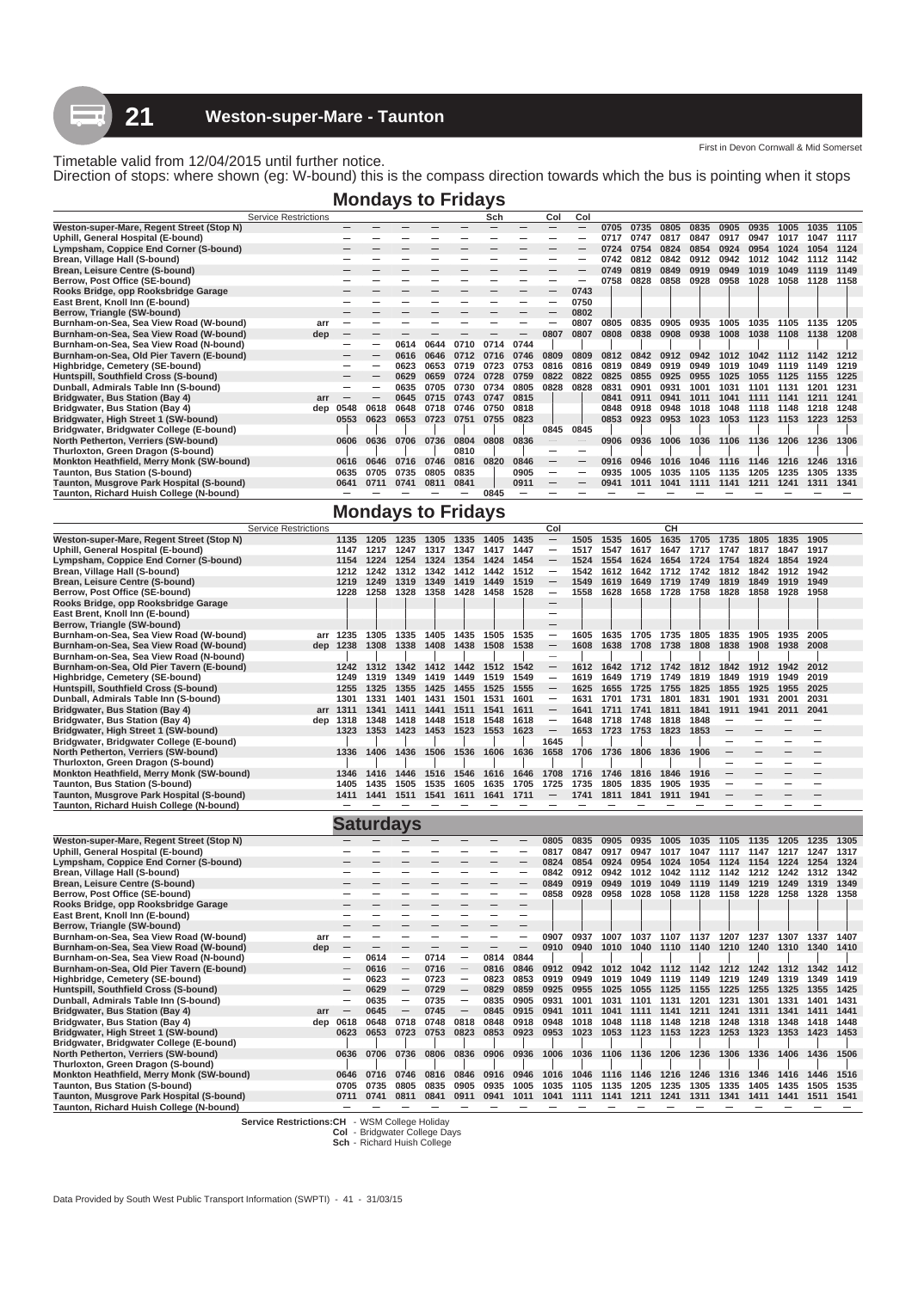Direction of stops: where shown (eg: W-bound) this is the compass direction towards which the bus is pointing when it stops

**Mondays to Fridays**

|                                           | <b>Service Restrictions</b> |      |      |      |      |      | Sch  |      | Col             | Col  |      |      |      |      |      |      |      |      |      |
|-------------------------------------------|-----------------------------|------|------|------|------|------|------|------|-----------------|------|------|------|------|------|------|------|------|------|------|
| Weston-super-Mare, Regent Street (Stop N) |                             |      |      |      |      |      |      |      |                 |      | 0705 | 0735 | 0805 | 0835 | 0905 | 0935 | 1005 | 1035 | 1105 |
| Uphill, General Hospital (E-bound)        |                             |      |      |      |      |      |      |      |                 |      | 0717 | 0747 | 0817 | 0847 | 0917 | 0947 | 1017 | 1047 | 1117 |
| Lympsham, Coppice End Corner (S-bound)    |                             |      |      |      |      |      |      |      |                 |      | 0724 | 0754 | 0824 | 0854 | 0924 | 0954 | 1024 | 1054 | 1124 |
| Brean, Village Hall (S-bound)             |                             |      |      |      |      |      |      |      |                 |      | 0742 | 0812 | 0842 | 0912 | 0942 | 1012 | 1042 |      | 1142 |
| Brean, Leisure Centre (S-bound)           |                             |      |      |      |      |      |      |      |                 |      | 0749 | 0819 | 0849 | 0919 | 0949 | 1019 | 1049 | 1119 | 1149 |
| Berrow, Post Office (SE-bound)            |                             |      |      |      |      |      |      |      |                 |      | 0758 | 0828 | 0858 | 0928 | 0958 | 1028 | 1058 | 1128 | 1158 |
| Rooks Bridge, opp Rooksbridge Garage      |                             |      |      |      |      |      |      |      |                 | 0743 |      |      |      |      |      |      |      |      |      |
| East Brent, Knoll Inn (E-bound)           |                             |      |      |      |      |      |      |      |                 | 0750 |      |      |      |      |      |      |      |      |      |
| Berrow, Triangle (SW-bound)               |                             |      |      |      |      |      |      |      |                 | 0802 |      |      |      |      |      |      |      |      |      |
| Burnham-on-Sea, Sea View Road (W-bound)   | arı                         |      |      |      |      |      |      |      |                 | 0807 | 0805 | 0835 | 0905 | 0935 | 1005 | 1035 | 1105 | 1135 | 1205 |
| Burnham-on-Sea, Sea View Road (W-bound)   | dep                         | -    |      |      |      |      |      |      | 0807            | 0807 | 0808 | 0838 | 0908 | 0938 | 1008 | 1038 | 1108 | 1138 | 1208 |
| Burnham-on-Sea, Sea View Road (N-bound)   |                             |      |      | 0614 | 0644 | 0710 | 0714 | 0744 |                 |      |      |      |      |      |      |      |      |      |      |
| Burnham-on-Sea, Old Pier Tavern (E-bound) |                             |      |      | 0616 | 0646 | 0712 | 0716 | 0746 | 0809            | 0809 | 0812 | 0842 | 0912 | 0942 | 1012 | 1042 | 1112 | 1142 | 1212 |
| Highbridge, Cemetery (SE-bound)           |                             |      |      | 0623 | 0653 | 0719 | 0723 | 0753 | 0816            | 0816 | 0819 | 0849 | 0919 | 0949 | 1019 | 1049 | 1119 | 1149 | 1219 |
| Huntspill, Southfield Cross (S-bound)     |                             |      |      | 0629 | 0659 | 0724 | 0728 | 0759 | 0822            | 0822 | 0825 | 0855 | 0925 | 0955 | 1025 | 1055 | 1125 | 1155 | 1225 |
| Dunball, Admirals Table Inn (S-bound)     |                             |      |      | 0635 | 0705 | 0730 | 0734 | 0805 | 0828            | 0828 | 0831 | 0901 | 0931 | 1001 | 1031 | 1101 | 1131 | 1201 | 1231 |
| Bridgwater, Bus Station (Bay 4)           | arr                         |      |      | 0645 | 0715 | 0743 | 0747 | 0815 |                 |      | 0841 | 0911 | 0941 | 1011 | 1041 | 1111 | 1141 | 1211 | 1241 |
| Bridgwater, Bus Station (Bay 4)           | dep                         | 0548 | 0618 | 0648 | 0718 | 0746 | 0750 | 0818 |                 |      | 0848 | 0918 | 0948 | 1018 | 1048 | 1118 | 1148 | 1218 | 1248 |
| Bridgwater, High Street 1 (SW-bound)      |                             | 0553 | 0623 | 0653 | 0723 | 0751 | 0755 | 0823 |                 |      | 0853 | 0923 | 0953 | 1023 | 1053 | 1123 | 1153 | 1223 | 1253 |
| Bridgwater, Bridgwater College (E-bound)  |                             |      |      |      |      |      |      |      | 0845            | 0845 |      |      |      |      |      |      |      |      |      |
| North Petherton, Verriers (SW-bound)      |                             | 0606 | 0636 | 0706 | 0736 | 0804 | 0808 | 0836 |                 |      | 0906 | 0936 | 1006 | 1036 | 1106 | 1136 | 1206 | 1236 | 1306 |
| Thurloxton, Green Dragon (S-bound)        |                             |      |      |      |      | 0810 |      |      |                 |      |      |      |      |      |      |      |      |      |      |
| Monkton Heathfield, Merry Monk (SW-bound) |                             | 0616 | 0646 | 0716 | 0746 | 0816 | 0820 | 0846 | $\qquad \qquad$ |      | 0916 | 0946 | 1016 | 1046 | 1116 | 1146 | 1216 | 1246 | 1316 |
| Taunton, Bus Station (S-bound)            |                             | 0635 | 0705 | 0735 | 0805 | 0835 |      | 0905 | $\qquad \qquad$ |      | 0935 | 1005 | 1035 | 1105 | 1135 | 1205 | 1235 | 1305 | 1335 |
| Taunton, Musgrove Park Hospital (S-bound) |                             | 0641 | 0711 | 0741 | 0811 | 0841 |      | 0911 | $\qquad \qquad$ |      | 0941 | 1011 | 1041 | 1111 | 1141 | 1211 | 1241 | 1311 | 1341 |
| Taunton, Richard Huish College (N-bound)  |                             |      |      |      |      |      | 0845 |      |                 |      |      |      |      |      |      |      |      |      |      |
|                                           |                             |      |      |      |      |      |      |      |                 |      |      |      |      |      |      |      |      |      |      |

# **Mondays to Fridays**

|                                                                                       | <b>Service Restrictions</b> |                                 |      |                                                                           |                          |                          |                          |                          | Col                      |           |                          |                     | CH                                 |                          |                          |                          |                                         |                          |      |
|---------------------------------------------------------------------------------------|-----------------------------|---------------------------------|------|---------------------------------------------------------------------------|--------------------------|--------------------------|--------------------------|--------------------------|--------------------------|-----------|--------------------------|---------------------|------------------------------------|--------------------------|--------------------------|--------------------------|-----------------------------------------|--------------------------|------|
| Weston-super-Mare, Regent Street (Stop N)                                             |                             | 1135                            | 1205 | 1235                                                                      | 1305                     | 1335                     | 1405                     | 1435                     |                          | 1505      | 1535                     | 1605                | 1635                               | 1705                     | 1735                     | 1805                     | 1835                                    | 1905                     |      |
| Uphill, General Hospital (E-bound)                                                    |                             | 1147                            | 1217 | 1247                                                                      | 1317                     | 1347                     | 1417                     | 1447                     | $\qquad \qquad -$        | 1517      | 1547                     | 1617                | 1647                               | 1717                     | 1747                     | 1817                     | 1847                                    | 1917                     |      |
| Lympsham, Coppice End Corner (S-bound)                                                |                             | 1154                            |      | 1224 1254 1324 1354 1424                                                  |                          |                          |                          | 1454                     |                          | 1524 1554 |                          | 1624                | 1654                               |                          | 1724 1754 1824           |                          | 1854                                    | 1924                     |      |
| Brean, Village Hall (S-bound)                                                         |                             | 1212                            | 1242 | 1312                                                                      | 1342                     | 1412                     | 1442                     | 1512                     | $\qquad \qquad -$        | 1542      | 1612                     | 1642                | 1712                               | 1742                     | 1812                     | 1842                     | 1912                                    | 1942                     |      |
| Brean, Leisure Centre (S-bound)                                                       |                             | 1219                            | 1249 | 1319                                                                      | 1349                     | 1419                     | 1449                     | 1519                     |                          | 1549      | 1619                     | 1649                | 1719                               | 1749                     | 1819                     | 1849                     | 1919                                    | 1949                     |      |
| Berrow, Post Office (SE-bound)                                                        |                             | 1228                            | 1258 | 1328 1358 1428 1458 1528                                                  |                          |                          |                          |                          | $\qquad \qquad -$        | 1558      | 1628                     |                     | 1658 1728 1758 1828 1858           |                          |                          |                          | 1928 1958                               |                          |      |
| Rooks Bridge, opp Rooksbridge Garage                                                  |                             |                                 |      |                                                                           |                          |                          |                          |                          | $\overline{\phantom{0}}$ |           |                          |                     |                                    |                          |                          |                          |                                         |                          |      |
| East Brent, Knoll Inn (E-bound)                                                       |                             |                                 |      |                                                                           |                          |                          |                          |                          | $\overline{\phantom{0}}$ |           |                          |                     |                                    |                          |                          |                          |                                         |                          |      |
| Berrow, Triangle (SW-bound)                                                           |                             |                                 |      |                                                                           |                          |                          |                          |                          | $\overline{\phantom{0}}$ |           |                          |                     |                                    |                          |                          |                          |                                         |                          |      |
| Burnham-on-Sea, Sea View Road (W-bound)                                               |                             | arr 1235                        | 1305 | 1335                                                                      | 1405                     | 1435 1505                |                          | 1535                     | -                        | 1605      | 1635                     | 1705 1735           |                                    | 1805                     | 1835                     | 1905                     | 1935                                    | 2005                     |      |
| Burnham-on-Sea, Sea View Road (W-bound)                                               |                             | dep 1238                        | 1308 | 1338                                                                      | 1408                     | 1438                     | 1508                     | 1538                     |                          | 1608      | 1638                     | 1708 1738           |                                    | 1808                     | 1838                     | 1908                     | 1938                                    | 2008                     |      |
| Burnham-on-Sea, Sea View Road (N-bound)                                               |                             |                                 |      |                                                                           |                          |                          |                          |                          | -                        |           |                          |                     |                                    |                          |                          |                          |                                         |                          |      |
| Burnham-on-Sea, Old Pier Tavern (E-bound)                                             |                             | 1242                            | 1312 | 1342 1412 1442 1512                                                       |                          |                          |                          | 1542                     |                          | 1612      | 1642                     | 1712                | 1742                               |                          | 1812 1842 1912           |                          | 1942                                    | 2012                     |      |
| Highbridge, Cemetery (SE-bound)                                                       |                             | 1249                            | 1319 | 1349                                                                      | 1419                     | 1449                     | 1519                     | 1549                     | $\overline{\phantom{m}}$ | 1619      | 1649                     | 1719                | 1749                               | 1819                     | 1849                     | 1919                     | 1949                                    | 2019                     |      |
| Huntspill, Southfield Cross (S-bound)                                                 |                             | 1255                            | 1325 | 1355                                                                      | 1425                     | 1455                     | 1525                     | 1555                     | —                        | 1625      | 1655                     | 1725                | 1755                               | 1825                     | 1855                     | 1925                     | 1955                                    | 2025                     |      |
| Dunball, Admirals Table Inn (S-bound)                                                 |                             | 1301                            | 1331 | 1401 1431                                                                 |                          | 1501                     | 1531                     | 1601                     |                          | 1631      | 1701                     | 1731                | 1801                               | 1831                     | 1901                     | 1931                     | 2001                                    | 2031                     |      |
| Bridgwater, Bus Station (Bay 4)                                                       |                             | arr 1311                        | 1341 | 1411                                                                      | 1441                     | 1511                     | 1541                     | 1611                     | $\overline{\phantom{m}}$ | 1641      | 1711                     | 1741                | 1811                               | 1841                     | 1911                     | 1941                     | 2011                                    | 2041                     |      |
| Bridgwater, Bus Station (Bay 4)                                                       |                             | dep 1318                        | 1348 | 1418                                                                      | 1448                     | 1518                     | 1548                     | 1618                     |                          | 1648      | 1718                     | 1748                | 1818                               | 1848                     | -                        | -                        | $\overline{\phantom{0}}$                | $\overline{\phantom{0}}$ |      |
| Bridgwater, High Street 1 (SW-bound)                                                  |                             | 1323                            | 1353 | 1423                                                                      | 1453                     | 1523                     | 1553                     | 1623                     |                          | 1653      | 1723                     | 1753                | 1823                               | 1853                     |                          |                          |                                         |                          |      |
| Bridgwater, Bridgwater College (E-bound)                                              |                             |                                 |      |                                                                           |                          |                          |                          |                          | 1645                     |           |                          |                     |                                    |                          | -                        | $\overline{\phantom{a}}$ |                                         | -                        |      |
| North Petherton, Verriers (SW-bound)                                                  |                             | 1336                            | 1406 | 1436 1506                                                                 |                          |                          |                          | 1536 1606 1636 1658      |                          | 1706 1736 |                          | 1806 1836           |                                    | 1906                     |                          |                          |                                         |                          |      |
| Thurloxton, Green Dragon (S-bound)                                                    |                             |                                 |      |                                                                           |                          |                          |                          |                          |                          |           |                          |                     |                                    |                          | $\overline{\phantom{0}}$ |                          |                                         | -                        |      |
| Monkton Heathfield, Merry Monk (SW-bound)                                             |                             | 1346                            | 1416 | 1446                                                                      | 1516                     | 1546                     | 1616                     | 1646                     | 1708                     | 1716      | 1746                     | 1816                | 1846                               | 1916                     |                          |                          |                                         |                          |      |
| Taunton, Bus Station (S-bound)                                                        |                             | 1405                            | 1435 | 1505                                                                      | 1535                     | 1605                     | 1635                     | 1705                     | 1725                     | 1735      | 1805                     | 1835                | 1905                               | 1935                     | -                        |                          |                                         |                          |      |
| Taunton, Musgrove Park Hospital (S-bound)                                             |                             | 1411                            | 1441 | 1511                                                                      | 1541                     | 1611                     | 1641                     | 1711                     | $\qquad \qquad -$        | 1741      | 1811                     | 1841                | 1911                               | 1941                     |                          |                          |                                         |                          |      |
| Taunton, Richard Huish College (N-bound)                                              |                             |                                 |      |                                                                           |                          | $\overline{\phantom{0}}$ | $\overline{\phantom{0}}$ |                          |                          |           | $\overline{\phantom{0}}$ |                     | $\overline{\phantom{0}}$           | $\overline{\phantom{0}}$ | $\overline{\phantom{0}}$ |                          |                                         |                          |      |
|                                                                                       |                             |                                 |      |                                                                           |                          |                          |                          |                          |                          |           |                          |                     |                                    |                          |                          |                          |                                         |                          |      |
|                                                                                       |                             |                                 |      |                                                                           |                          |                          |                          |                          |                          |           |                          |                     |                                    |                          |                          |                          |                                         |                          |      |
|                                                                                       |                             |                                 |      | Saturdays                                                                 |                          |                          |                          |                          |                          |           |                          |                     |                                    |                          |                          |                          |                                         |                          |      |
| Weston-super-Mare, Regent Street (Stop N)                                             |                             |                                 |      |                                                                           |                          |                          |                          |                          | 0805                     | 0835      | 0905                     | 0935                | 1005                               | 1035                     | 1105                     | 1135                     | 1205                                    | 1235                     | 1305 |
| Uphill, General Hospital (E-bound)                                                    |                             |                                 |      |                                                                           |                          |                          |                          |                          | 0817                     | 0847      | 0917                     | 0947                | 1017                               | 1047                     | 1117 1147                |                          | 1217                                    | 1247                     | 1317 |
| Lympsham, Coppice End Corner (S-bound)                                                |                             |                                 |      |                                                                           |                          |                          |                          |                          | 0824                     | 0854      | 0924                     | 0954                | 1024                               |                          |                          |                          | 1054 1124 1154 1224                     | 1254                     | 1324 |
| Brean, Village Hall (S-bound)                                                         |                             |                                 |      | —                                                                         |                          |                          | -                        |                          | 0842                     | 0912      | 0942                     | 1012                | 1042                               |                          | 1112 1142 1212           |                          | 1242                                    | 1312                     | 1342 |
| Brean, Leisure Centre (S-bound)                                                       |                             |                                 |      |                                                                           |                          |                          |                          |                          | 0849                     | 0919      | 0949                     | 1019                | 1049                               |                          | 1119 1149                | 1219                     | 1249                                    | 1319                     | 1349 |
| Berrow, Post Office (SE-bound)                                                        |                             |                                 |      |                                                                           | $\overline{\phantom{a}}$ |                          |                          | -                        | 0858                     | 0928      | 0958                     |                     |                                    |                          |                          |                          | 1028 1058 1128 1158 1228 1258 1328      |                          | 1358 |
| Rooks Bridge, opp Rooksbridge Garage                                                  |                             |                                 |      |                                                                           |                          |                          |                          |                          |                          |           |                          |                     |                                    |                          |                          |                          |                                         |                          |      |
| East Brent, Knoll Inn (E-bound)                                                       |                             | -                               |      | -                                                                         | -                        | -                        | -                        | $\overline{\phantom{m}}$ |                          |           |                          |                     |                                    |                          |                          |                          |                                         |                          |      |
| Berrow, Triangle (SW-bound)                                                           |                             |                                 |      |                                                                           |                          |                          |                          |                          |                          |           |                          |                     |                                    |                          |                          |                          |                                         |                          |      |
| Burnham-on-Sea, Sea View Road (W-bound)                                               | arr                         |                                 |      |                                                                           |                          |                          | L,                       |                          | 0907                     | 0937      |                          |                     |                                    |                          |                          |                          | 1007 1037 1107 1137 1207 1237 1307 1337 |                          | 1407 |
| Burnham-on-Sea, Sea View Road (W-bound)                                               | dep                         |                                 |      |                                                                           | $\overline{\phantom{0}}$ |                          | $\overline{\phantom{0}}$ | $\qquad \qquad -$        | 0910                     | 0940      | 1010                     | 1040                | 1110 1140 1210 1240                |                          |                          |                          | 1310 1340                               |                          | 1410 |
| Burnham-on-Sea, Sea View Road (N-bound)                                               |                             | -                               | 0614 | $\overline{\phantom{m}}$                                                  | 0714                     | $\overline{\phantom{0}}$ | 0814                     | 0844                     |                          |           |                          |                     |                                    |                          |                          |                          |                                         |                          |      |
| Burnham-on-Sea, Old Pier Tavern (E-bound)                                             |                             |                                 | 0616 | $\qquad \qquad -$                                                         | 0716                     |                          | 0816                     | 0846                     | 0912                     | 0942      | 1012                     | 1042                | 1112                               |                          | 1142 1212 1242           |                          | 1312                                    | 1342                     | 1412 |
| Highbridge, Cemetery (SE-bound)                                                       |                             |                                 | 0623 | -                                                                         | 0723                     | -                        | 0823                     | 0853                     | 0919                     | 0949      | 1019                     | 1049                | 1119                               | 1149                     | 1219                     | 1249                     | 1319                                    | 1349                     | 1419 |
| Huntspill, Southfield Cross (S-bound)                                                 |                             |                                 | 0629 | $\qquad \qquad -$                                                         | 0729                     |                          | 0829                     | 0859                     | 0925                     | 0955      | 1025                     | 1055                | 1125                               | 1155                     | 1225                     | 1255                     | 1325                                    | 1355                     | 1425 |
| Dunball, Admirals Table Inn (S-bound)                                                 |                             | $\overline{\phantom{m}}$        | 0635 | $\hspace{1.0cm} \rule{1.5cm}{0.15cm} \hspace{1.0cm} \rule{1.5cm}{0.15cm}$ | 0735                     | $\qquad \qquad -$        | 0835                     | 0905                     | 0931                     | 1001      | 1031                     | 1101                | 1131                               | 1201                     | 1231                     | 1301                     | 1331                                    | 1401                     | 1431 |
| Bridgwater, Bus Station (Bay 4)                                                       | arr                         | $\hspace{0.1mm}-\hspace{0.1mm}$ | 0645 | —                                                                         | 0745                     | $\overline{\phantom{m}}$ | 0845                     | 0915                     | 0941                     | 1011      | 1041                     | 1111                | 1141                               | 1211                     | 1241                     | 1311                     | 1341                                    | 1411                     | 1441 |
| Bridgwater, Bus Station (Bay 4)                                                       |                             | dep 0618                        | 0648 | 0718                                                                      | 0748                     | 0818                     | 0848                     | 0918                     | 0948                     | 1018      | 1048                     | 1118                | 1148                               | 1218                     | 1248                     | 1318                     | 1348                                    | 1418                     | 1448 |
| Bridgwater, High Street 1 (SW-bound)                                                  |                             | 0623                            | 0653 | 0723                                                                      | 0753                     | 0823                     | 0853                     | 0923                     | 0953                     | 1023      | 1053                     | 1123                | 1153                               | 1223                     | 1253                     | 1323                     | 1353                                    | 1423                     | 1453 |
| Bridgwater, Bridgwater College (E-bound)                                              |                             |                                 |      |                                                                           |                          |                          |                          |                          |                          |           |                          |                     |                                    |                          |                          |                          |                                         |                          |      |
| North Petherton, Verriers (SW-bound)                                                  |                             | 0636                            | 0706 | 0736                                                                      | 0806                     | 0836                     | 0906                     | 0936 1006                |                          |           |                          |                     | 1036 1106 1136 1206 1236 1306 1336 |                          |                          |                          | 1406 1436                               |                          | 1506 |
| Thurloxton, Green Dragon (S-bound)                                                    |                             |                                 |      |                                                                           |                          |                          |                          |                          |                          |           |                          |                     |                                    |                          |                          |                          |                                         |                          |      |
| Monkton Heathfield, Merry Monk (SW-bound)                                             |                             | 0646                            | 0716 | 0746                                                                      | 0816                     | 0846                     | 0916                     | 0946                     | 1016                     | 1046      | 1116                     | 1146                | 1216                               | 1246                     | 1316                     | 1346                     | 1416                                    | 1446                     | 1516 |
| Taunton, Bus Station (S-bound)                                                        |                             | 0705                            | 0735 | 0805                                                                      | 0835                     | 0905                     | 0935                     | 1005                     | 1035                     | 1105      | 1135                     | 1205                | 1235                               | 1305                     | 1335                     | 1405                     | 1435                                    | 1505                     | 1535 |
| Taunton, Musgrove Park Hospital (S-bound)<br>Taunton, Richard Huish College (N-bound) |                             | 0711                            | 0741 | 0811                                                                      | 0841                     | 0911                     | 0941                     | 1011 1041                |                          |           |                          | 1111 1141 1211 1241 |                                    | 1311                     | 1341 1411                |                          | 1441                                    | 1511                     | 1541 |

**Service Restrictions:CH** - WSM College Holiday **Col** - Bridgwater College Days **Sch** - Richard Huish College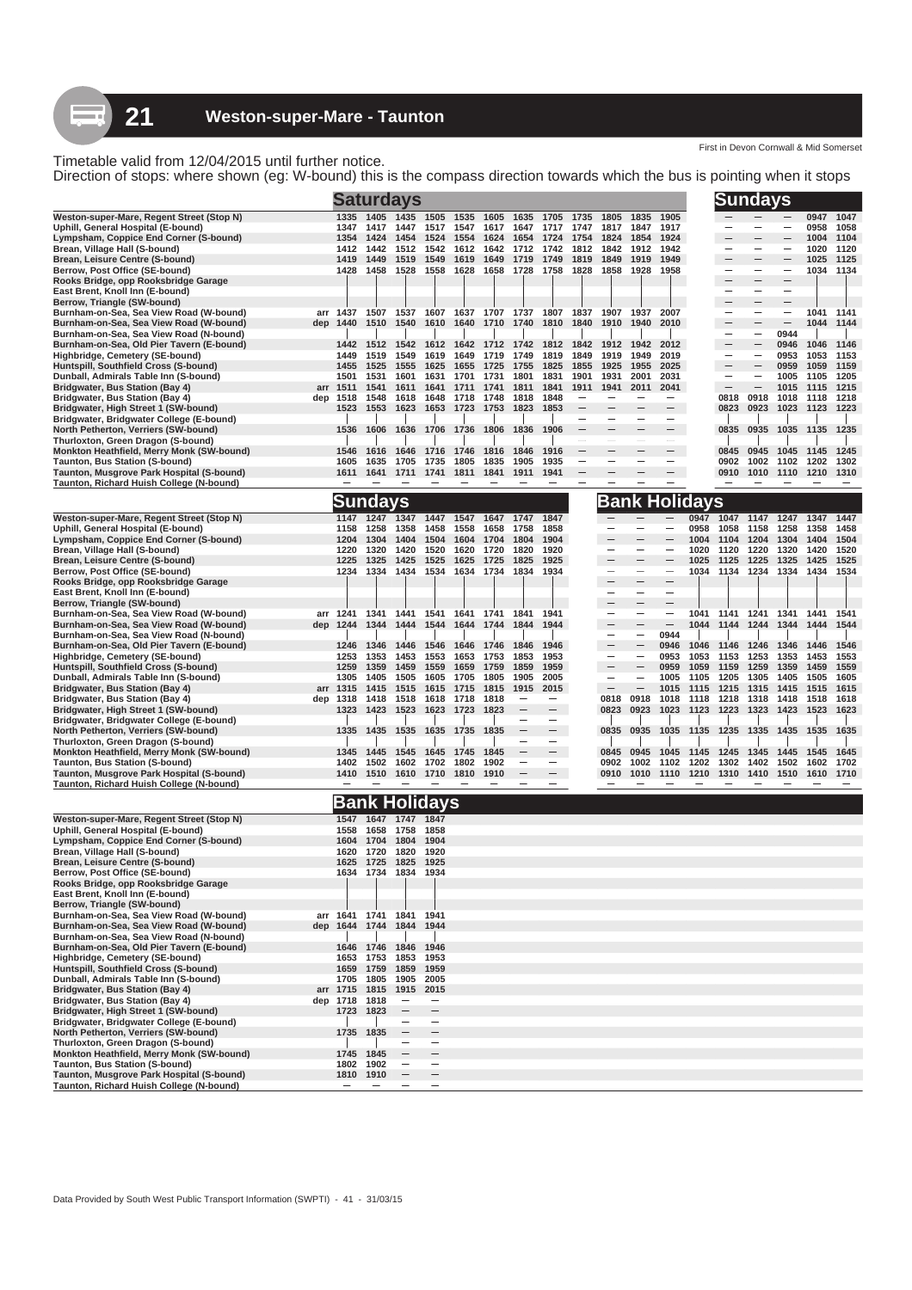Direction of stops: where shown (eg: W-bound) this is the compass direction towards which the bus is pointing when it stops

|                                                                                           |                  |                        | <b>Saturdays</b>         |                          |              |              |              |                                                 |              |                          |                               |                                               |              | Sundays                  |                          |                          |              |                   |
|-------------------------------------------------------------------------------------------|------------------|------------------------|--------------------------|--------------------------|--------------|--------------|--------------|-------------------------------------------------|--------------|--------------------------|-------------------------------|-----------------------------------------------|--------------|--------------------------|--------------------------|--------------------------|--------------|-------------------|
| Weston-super-Mare, Regent Street (Stop N)                                                 | 1335             | 1405                   | 1435                     | 1505                     | 1535         | 1605         | 1635         | 1705                                            | 1735         | 1805                     | 1835                          | 1905                                          |              |                          |                          |                          | 0947         | 1047              |
| Uphill, General Hospital (E-bound)                                                        | 1347             | 1417                   | 1447                     | 1517                     | 1547         | 1617         | 1647         | 1717                                            | 1747         | 1817                     | 1847                          | 1917                                          |              |                          |                          |                          | 0958         | 1058              |
| Lympsham, Coppice End Corner (S-bound)                                                    | 1354             | 1424                   | 1454                     | 1524                     | 1554         | 1624         | 1654         | 1724                                            | 1754         | 1824                     | 1854                          | 1924                                          |              |                          |                          |                          | 1004         | 1104              |
| Brean, Village Hall (S-bound)<br>Brean, Leisure Centre (S-bound)                          | 1412<br>1419     | 1442<br>1449           | 1512<br>1519             | 1542<br>1549             | 1612<br>1619 | 1642<br>1649 | 1712<br>1719 | 1742<br>1749                                    | 1812<br>1819 | 1842<br>1849             | 1912<br>1919                  | 1942<br>1949                                  |              |                          | $\overline{\phantom{0}}$ |                          | 1020<br>1025 | 1120<br>1125      |
| Berrow, Post Office (SE-bound)                                                            | 1428             | 1458                   | 1528                     | 1558                     | 1628         | 1658         | 1728         | 1758                                            | 1828         | 1858                     | 1928                          | 1958                                          |              |                          |                          | $\equiv$                 | 1034         | 1134              |
| Rooks Bridge, opp Rooksbridge Garage                                                      |                  |                        |                          |                          |              |              |              |                                                 |              |                          |                               |                                               |              |                          | $\overline{\phantom{0}}$ |                          |              |                   |
| East Brent, Knoll Inn (E-bound)                                                           |                  |                        |                          |                          |              |              |              |                                                 |              |                          |                               |                                               |              | $\overline{\phantom{0}}$ | $\overline{\phantom{0}}$ | $\overline{\phantom{0}}$ |              |                   |
| Berrow, Triangle (SW-bound)                                                               |                  |                        |                          |                          |              |              |              |                                                 |              |                          |                               | 2007                                          |              | $\overline{\phantom{0}}$ | $\overline{\phantom{0}}$ | $\overline{\phantom{m}}$ |              |                   |
| Burnham-on-Sea, Sea View Road (W-bound)<br>Burnham-on-Sea, Sea View Road (W-bound)<br>dep | arr 1437<br>1440 | 1510                   | 1540                     | 1610                     | 1640         | 1710         | 1740         | 1507 1537 1607 1637 1707 1737 1807 1837<br>1810 | 1840         | 1907 1937<br>1910        | 1940                          | 2010                                          |              |                          | $\qquad \qquad -$        | $\overline{\phantom{0}}$ | 1044         | 1041 1141<br>1144 |
| Burnham-on-Sea, Sea View Road (N-bound)                                                   |                  |                        |                          |                          |              |              |              |                                                 |              |                          |                               |                                               |              |                          |                          | 0944                     |              |                   |
| Burnham-on-Sea, Old Pier Tavern (E-bound)                                                 | 1442             | 1512                   | 1542                     | 1612                     | 1642         | 1712         | 1742         | 1812                                            | 1842         | 1912                     | 1942                          | 2012                                          |              |                          | $\overline{\phantom{0}}$ | 0946                     | 1046         | 1146              |
| Highbridge, Cemetery (SE-bound)                                                           | 1449             | 1519                   | 1549                     | 1619                     | 1649         | 1719         | 1749         | 1819                                            | 1849         | 1919                     | 1949                          | 2019                                          |              | -                        | $\overline{\phantom{m}}$ | 0953                     | 1053         | 1153              |
| Huntspill, Southfield Cross (S-bound)<br>Dunball, Admirals Table Inn (S-bound)            | 1455<br>1501     | 1525<br>1531           | 1555<br>1601             | 1625<br>1631             | 1655<br>1701 | 1725<br>1731 | 1755<br>1801 | 1825<br>1831                                    | 1855<br>1901 | 1925<br>1931             | 1955<br>2001                  | 2025<br>2031                                  |              |                          | $\overline{\phantom{0}}$ | 0959<br>1005             | 1059<br>1105 | 1159<br>1205      |
| Bridgwater, Bus Station (Bay 4)                                                           | arr 1511         | 1541                   | 1611                     | 1641                     | 1711         | 1741         | 1811         | 1841                                            | 1911         | 1941                     | 2011                          | 2041                                          |              | $\overline{\phantom{0}}$ | $\overline{\phantom{0}}$ | 1015                     | 1115         | 1215              |
| Bridgwater, Bus Station (Bay 4)<br>dep                                                    | 1518             | 1548                   | 1618                     | 1648                     | 1718         | 1748         | 1818         | 1848                                            |              |                          |                               |                                               |              | 0818                     | 0918                     | 1018                     | 1118         | 1218              |
| Bridgwater, High Street 1 (SW-bound)                                                      | 1523             | 1553                   | 1623                     | 1653                     | 1723         | 1753         | 1823         | 1853                                            |              |                          |                               | $\overline{\phantom{0}}$                      |              | 0823                     | 0923                     | 1023                     | 1123         | 1223              |
| Bridgwater, Bridgwater College (E-bound)                                                  |                  |                        |                          |                          |              |              |              |                                                 |              |                          |                               |                                               |              |                          |                          |                          |              |                   |
| North Petherton, Verriers (SW-bound)<br>Thurloxton, Green Dragon (S-bound)                | 1536             | 1606                   | 1636                     | 1706                     | 1736         | 1806         | 1836         | 1906                                            |              |                          | -                             | $\overline{\phantom{0}}$                      |              | 0835                     | 0935                     | 1035                     | 1135         | 1235              |
| Monkton Heathfield, Merry Monk (SW-bound)                                                 | 1546             | 1616                   | 1646                     | 1716                     | 1746         | 1816         | 1846         | 1916                                            |              |                          |                               |                                               |              | 0845                     | 0945                     | 1045                     | 1145         | 1245              |
| Taunton, Bus Station (S-bound)                                                            | 1605             | 1635                   | 1705                     | 1735                     | 1805         | 1835         | 1905         | 1935                                            |              |                          | -                             | $\overline{\phantom{0}}$                      |              | 0902                     | 1002                     | 1102                     | 1202         | 1302              |
| Taunton, Musgrove Park Hospital (S-bound)                                                 | 1611             | 1641                   | 1711                     | 1741                     | 1811         | 1841         | 1911         | 1941                                            |              |                          |                               | $\overline{\phantom{0}}$                      |              | 0910                     | 1010                     | 1110                     | 1210         | 1310              |
| Taunton, Richard Huish College (N-bound)                                                  |                  |                        |                          |                          |              |              |              |                                                 |              |                          |                               | $\overline{\phantom{0}}$                      |              |                          |                          |                          |              |                   |
|                                                                                           |                  | <b>Sundays</b>         |                          |                          |              |              |              |                                                 |              |                          |                               | <u>Bank Holidays</u>                          |              |                          |                          |                          |              |                   |
| Weston-super-Mare, Regent Street (Stop N)                                                 | 1147             | 1247                   | 1347                     | 1447                     | 1547         | 1647         | 1747         | 1847                                            |              |                          |                               |                                               | 0947         | 1047 1147                |                          | 1247                     | 1347         | 1447              |
| Uphill, General Hospital (E-bound)                                                        | 1158             | 1258                   | 1358                     | 1458                     | 1558         | 1658         | 1758         | 1858                                            |              |                          | $\overline{\phantom{0}}$      | $\overline{\phantom{a}}$                      | 0958         | 1058                     | 1158                     | 1258                     | 1358         | 1458              |
| Lympsham, Coppice End Corner (S-bound)                                                    | 1204<br>1220     | 1304<br>1320           | 1404<br>1420             | 1504<br>1520             | 1604<br>1620 | 1704         | 1804<br>1820 | 1904<br>1920                                    |              |                          | -                             |                                               | 1004<br>1020 | 1104<br>1120             | 1204<br>1220             | 1304<br>1320             | 1404<br>1420 | 1504<br>1520      |
| Brean, Village Hall (S-bound)<br>Brean, Leisure Centre (S-bound)                          | 1225             | 1325                   | 1425                     | 1525                     | 1625         | 1720<br>1725 | 1825         | 1925                                            |              |                          |                               | —                                             | 1025         | 1125                     | 1225                     | 1325                     | 1425         | 1525              |
| Berrow, Post Office (SE-bound)                                                            | 1234             | 1334                   | 1434                     | 1534                     | 1634         | 1734         | 1834         | 1934                                            |              | -                        | $\overline{\phantom{0}}$      | —                                             | 1034         | 1134                     | 1234                     | 1334                     | 1434         | 1534              |
| Rooks Bridge, opp Rooksbridge Garage                                                      |                  |                        |                          |                          |              |              |              |                                                 |              |                          |                               | $\overline{\phantom{0}}$                      |              |                          |                          |                          |              |                   |
| East Brent, Knoll Inn (E-bound)                                                           |                  |                        |                          |                          |              |              |              |                                                 |              | -                        |                               | $\overline{\phantom{m}}$                      |              |                          |                          |                          |              |                   |
| Berrow, Triangle (SW-bound)<br>Burnham-on-Sea, Sea View Road (W-bound)                    | arr 1241         | 1341                   | 1441                     | 1541                     | 1641         | 1741         | 1841         | 1941                                            |              |                          | -<br>$\overline{\phantom{0}}$ | $\qquad \qquad -$<br>$\overline{\phantom{m}}$ | 1041         | 1141                     | 1241                     | 1341                     | 1441         | 1541              |
| Burnham-on-Sea, Sea View Road (W-bound)<br>dep                                            | 1244             | 1344                   | 1444                     | 1544                     | 1644         | 1744         | 1844         | 1944                                            |              |                          |                               | $\qquad \qquad -$                             | 1044         | 1144                     | 1244                     | 1344                     | 1444         | 1544              |
| Burnham-on-Sea, Sea View Road (N-bound)                                                   |                  |                        |                          |                          |              |              |              |                                                 |              |                          |                               | 0944                                          |              |                          |                          |                          |              |                   |
| Burnham-on-Sea, Old Pier Tavern (E-bound)                                                 | 1246             | 1346                   | 1446                     | 1546                     | 1646         | 1746         | 1846         | 1946                                            |              | $\overline{\phantom{a}}$ | $\overline{\phantom{m}}$      | 0946                                          | 1046         | 1146                     | 1246                     | 1346                     | 1446         | 1546              |
| Highbridge, Cemetery (SE-bound)                                                           | 1253             | 1353                   | 1453                     | 1553                     | 1653         | 1753         | 1853         | 1953                                            |              | ۰                        | $\qquad \qquad -$             | 0953                                          | 1053         | 1153                     | 1253                     | 1353                     | 1453         | 1553              |
| Huntspill, Southfield Cross (S-bound)<br>Dunball, Admirals Table Inn (S-bound)            | 1259<br>1305     | 1359<br>1405           | 1459<br>1505             | 1559<br>1605             | 1659<br>1705 | 1759<br>1805 | 1859<br>1905 | 1959<br>2005                                    |              | -                        | $\overline{\phantom{a}}$      | 0959<br>1005                                  | 1059<br>1105 | 1159<br>1205             | 1259<br>1305             | 1359<br>1405             | 1459<br>1505 | 1559<br>1605      |
| Bridgwater, Bus Station (Bay 4)                                                           | arr 1315         | 1415                   | 1515                     | 1615                     | 1715         | 1815         | 1915         | 2015                                            |              | $\overline{\phantom{m}}$ |                               | 1015                                          | 1115         | 1215                     | 1315                     | 1415                     | 1515         | 1615              |
| Bridgwater, Bus Station (Bay 4)<br>dep                                                    | 1318             | 1418                   | 1518                     | 1618                     | 1718         | 1818         |              |                                                 |              | 0818                     | 0918                          | 1018                                          | 1118         | 1218                     | 1318                     | 1418                     | 1518         | 1618              |
| Bridgwater, High Street 1 (SW-bound)                                                      | 1323             | 1423                   | 1523                     | 1623                     | 1723         | 1823         |              |                                                 |              | 0823                     | 0923                          | 1023                                          | 1123         | 1223                     | 1323                     | 1423                     | 1523         | 1623              |
| Bridgwater, Bridgwater College (E-bound)                                                  |                  |                        |                          |                          |              |              |              | $\overline{\phantom{0}}$                        |              |                          |                               |                                               |              |                          |                          |                          |              |                   |
| North Petherton, Verriers (SW-bound)<br>Thurloxton, Green Dragon (S-bound)                | 1335             | 1435                   | 1535                     | 1635                     | 1735         | 1835         |              | $\qquad \qquad -$<br>-                          |              | 0835                     | 0935                          | 1035                                          | 1135         | 1235                     | 1335                     | 1435                     | 1535         | 1635              |
| Monkton Heathfield, Merry Monk (SW-bound)                                                 | 1345             | 1445                   | 1545                     | 1645                     | 1745         | 1845         |              |                                                 |              | 0845                     | 0945                          | 1045                                          | 1145         | 1245                     | 1345                     | 1445                     | 1545         | 1645              |
| Taunton, Bus Station (S-bound)                                                            | 1402             | 1502                   | 1602                     | 1702                     | 1802         | 1902         |              |                                                 |              | 0902                     | 1002                          | 1102                                          | 1202         | 1302                     | 1402                     | 1502                     | 1602         | 1702              |
| Taunton, Musgrove Park Hospital (S-bound)                                                 | 1410             | 1510                   | 1610                     | 1710                     | 1810         | 1910         |              | $\overline{\phantom{m}}$                        |              | 0910                     | 1010                          | 1110                                          | 1210         | 1310                     | 1410                     | 1510                     | 1610         | 1710              |
| Taunton, Richard Huish College (N-bound)                                                  |                  |                        |                          |                          |              |              |              |                                                 |              |                          |                               |                                               |              |                          |                          |                          |              |                   |
|                                                                                           |                  |                        | <b>Bank Holidays</b>     |                          |              |              |              |                                                 |              |                          |                               |                                               |              |                          |                          |                          |              |                   |
| Weston-super-Mare, Regent Street (Stop N)                                                 | 1547             | 1647                   | 1747                     | 1847                     |              |              |              |                                                 |              |                          |                               |                                               |              |                          |                          |                          |              |                   |
| Uphill, General Hospital (E-bound)                                                        | 1558             | 1658                   | 1758                     | 1858                     |              |              |              |                                                 |              |                          |                               |                                               |              |                          |                          |                          |              |                   |
| Lympsham, Coppice End Corner (S-bound)<br>Brean, Village Hall (S-bound)                   | 1604<br>1620     | 1704<br>1720           | 1804<br>1820             | 1904<br>1920             |              |              |              |                                                 |              |                          |                               |                                               |              |                          |                          |                          |              |                   |
| Brean, Leisure Centre (S-bound)                                                           | 1625             | 1725                   | 1825                     | 1925                     |              |              |              |                                                 |              |                          |                               |                                               |              |                          |                          |                          |              |                   |
| Berrow, Post Office (SE-bound)                                                            | 1634             | 1734                   | 1834                     | 1934                     |              |              |              |                                                 |              |                          |                               |                                               |              |                          |                          |                          |              |                   |
| Rooks Bridge, opp Rooksbridge Garage                                                      |                  |                        |                          |                          |              |              |              |                                                 |              |                          |                               |                                               |              |                          |                          |                          |              |                   |
| East Brent, Knoll Inn (E-bound)<br>Berrow, Triangle (SW-bound)                            |                  |                        |                          |                          |              |              |              |                                                 |              |                          |                               |                                               |              |                          |                          |                          |              |                   |
| Burnham-on-Sea, Sea View Road (W-bound)                                                   |                  |                        | arr 1641 1741 1841 1941  |                          |              |              |              |                                                 |              |                          |                               |                                               |              |                          |                          |                          |              |                   |
| Burnham-on-Sea, Sea View Road (W-bound)                                                   |                  |                        | dep 1644 1744 1844 1944  |                          |              |              |              |                                                 |              |                          |                               |                                               |              |                          |                          |                          |              |                   |
| Burnham-on-Sea, Sea View Road (N-bound)                                                   |                  |                        |                          |                          |              |              |              |                                                 |              |                          |                               |                                               |              |                          |                          |                          |              |                   |
| Burnham-on-Sea, Old Pier Tavern (E-bound)<br>Highbridge, Cemetery (SE-bound)              | 1653             | 1753                   | 1646 1746 1846<br>1853   | 1946<br>1953             |              |              |              |                                                 |              |                          |                               |                                               |              |                          |                          |                          |              |                   |
| Huntspill, Southfield Cross (S-bound)                                                     |                  | 1659 1759              | 1859                     | 1959                     |              |              |              |                                                 |              |                          |                               |                                               |              |                          |                          |                          |              |                   |
| Dunball, Admirals Table Inn (S-bound)                                                     |                  | 1705 1805              | 1905                     | 2005                     |              |              |              |                                                 |              |                          |                               |                                               |              |                          |                          |                          |              |                   |
| Bridgwater, Bus Station (Bay 4)                                                           | arr 1715 1815    |                        | 1915                     | 2015                     |              |              |              |                                                 |              |                          |                               |                                               |              |                          |                          |                          |              |                   |
| Bridgwater, Bus Station (Bay 4)                                                           | dep 1718 1818    |                        |                          | $\qquad \qquad -$        |              |              |              |                                                 |              |                          |                               |                                               |              |                          |                          |                          |              |                   |
| Bridgwater, High Street 1 (SW-bound)<br>Bridgwater, Bridgwater College (E-bound)          |                  | 1723 1823              | -                        | $\overline{\phantom{a}}$ |              |              |              |                                                 |              |                          |                               |                                               |              |                          |                          |                          |              |                   |
| North Petherton, Verriers (SW-bound)                                                      |                  | 1735 1835              |                          |                          |              |              |              |                                                 |              |                          |                               |                                               |              |                          |                          |                          |              |                   |
| Thurloxton, Green Dragon (S-bound)                                                        |                  |                        | $\overline{\phantom{a}}$ | $\overline{\phantom{a}}$ |              |              |              |                                                 |              |                          |                               |                                               |              |                          |                          |                          |              |                   |
| Monkton Heathfield, Merry Monk (SW-bound)                                                 | 1745             | 1845                   |                          | $\qquad \qquad -$        |              |              |              |                                                 |              |                          |                               |                                               |              |                          |                          |                          |              |                   |
| Taunton, Bus Station (S-bound)<br>Taunton, Musgrove Park Hospital (S-bound)               |                  | 1802 1902<br>1810 1910 | $\overline{\phantom{a}}$ | $\overline{\phantom{m}}$ |              |              |              |                                                 |              |                          |                               |                                               |              |                          |                          |                          |              |                   |
| Taunton, Richard Huish College (N-bound)                                                  |                  |                        |                          | -                        |              |              |              |                                                 |              |                          |                               |                                               |              |                          |                          |                          |              |                   |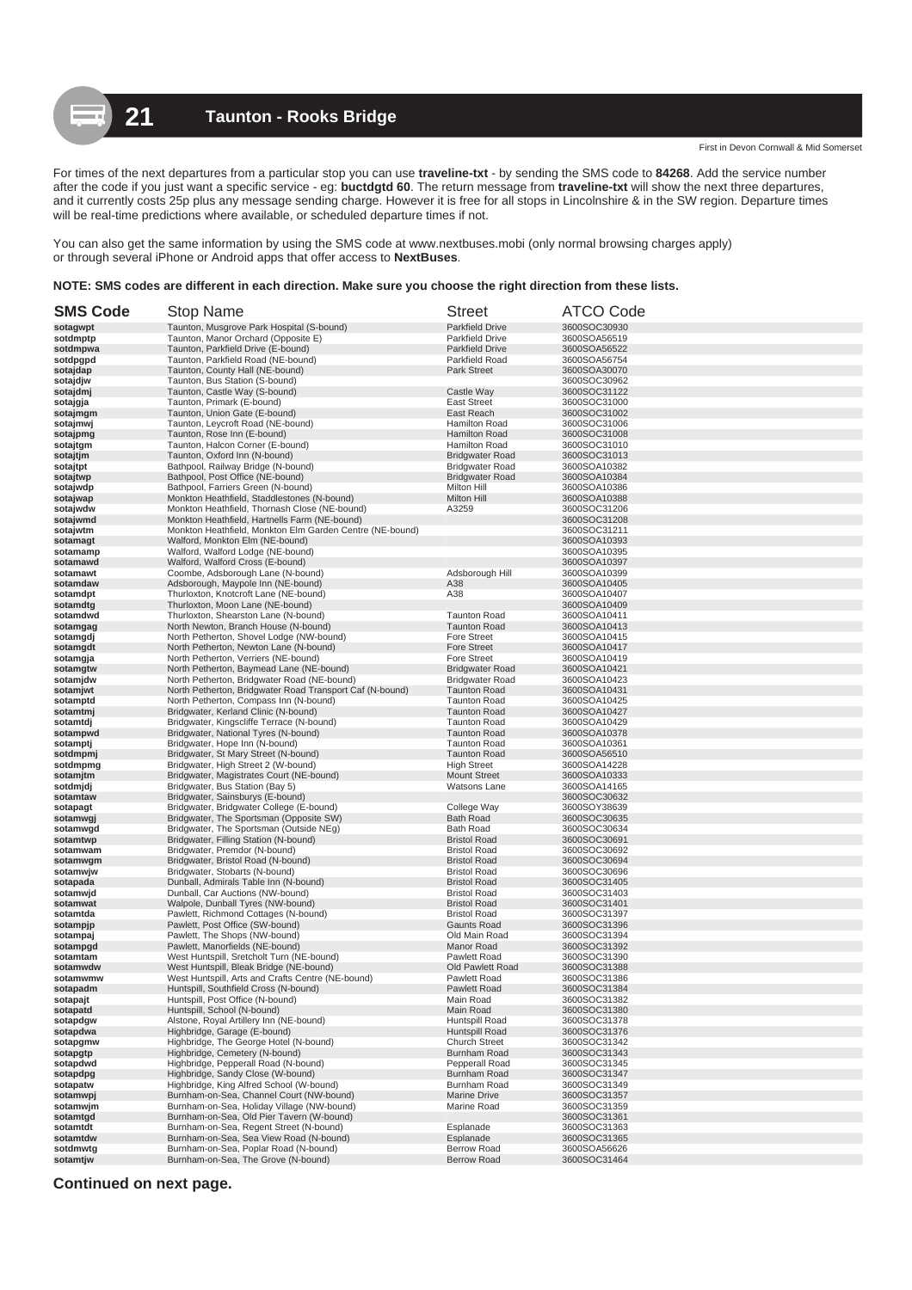For times of the next departures from a particular stop you can use **traveline-txt** - by sending the SMS code to **84268**. Add the service number after the code if you just want a specific service - eg: **buctdgtd 60**. The return message from **traveline-txt** will show the next three departures, and it currently costs 25p plus any message sending charge. However it is free for all stops in Lincolnshire & in the SW region. Departure times will be real-time predictions where available, or scheduled departure times if not.

You can also get the same information by using the SMS code at www.nextbuses.mobi (only normal browsing charges apply) or through several iPhone or Android apps that offer access to **NextBuses**.

### **NOTE: SMS codes are different in each direction. Make sure you choose the right direction from these lists.**

| <b>SMS Code</b>      | <b>Stop Name</b>                                                                   | <b>Street</b>                                    | <b>ATCO Code</b>             |
|----------------------|------------------------------------------------------------------------------------|--------------------------------------------------|------------------------------|
| sotagwpt             | Taunton, Musgrove Park Hospital (S-bound)                                          | <b>Parkfield Drive</b>                           | 3600SOC30930                 |
| sotdmptp             | Taunton, Manor Orchard (Opposite E)                                                | <b>Parkfield Drive</b>                           | 3600SOA56519                 |
| sotdmpwa             | Taunton, Parkfield Drive (E-bound)                                                 | <b>Parkfield Drive</b>                           | 3600SOA56522                 |
| sotdpgpd             | Taunton, Parkfield Road (NE-bound)                                                 | Parkfield Road                                   | 3600SOA56754                 |
| sotajdap<br>sotajdjw | Taunton, County Hall (NE-bound)<br>Taunton, Bus Station (S-bound)                  | Park Street                                      | 3600SOA30070<br>3600SOC30962 |
| sotajdmj             | Taunton, Castle Way (S-bound)                                                      | Castle Way                                       | 3600SOC31122                 |
| sotajgja             | Taunton, Primark (E-bound)                                                         | <b>East Street</b>                               | 3600SOC31000                 |
| sotajmgm             | Taunton, Union Gate (E-bound)                                                      | East Reach                                       | 3600SOC31002                 |
| sotajmwj             | Taunton, Leycroft Road (NE-bound)                                                  | Hamilton Road                                    | 3600SOC31006                 |
| sotajpmg             | Taunton, Rose Inn (E-bound)                                                        | Hamilton Road                                    | 3600SOC31008                 |
| sotajtgm             | Taunton, Halcon Corner (E-bound)                                                   | Hamilton Road                                    | 3600SOC31010                 |
| sotajtjm             | Taunton, Oxford Inn (N-bound)                                                      | <b>Bridgwater Road</b>                           | 3600SOC31013                 |
| sotajtpt<br>sotajtwp | Bathpool, Railway Bridge (N-bound)<br>Bathpool, Post Office (NE-bound)             | <b>Bridgwater Road</b><br><b>Bridgwater Road</b> | 3600SOA10382<br>3600SOA10384 |
| sotajwdp             | Bathpool, Farriers Green (N-bound)                                                 | Milton Hill                                      | 3600SOA10386                 |
| sotajwap             | Monkton Heathfield, Staddlestones (N-bound)                                        | Milton Hill                                      | 3600SOA10388                 |
| sotajwdw             | Monkton Heathfield, Thornash Close (NE-bound)                                      | A3259                                            | 3600SOC31206                 |
| sotajwmd             | Monkton Heathfield, Hartnells Farm (NE-bound)                                      |                                                  | 3600SOC31208                 |
| sotajwtm             | Monkton Heathfield, Monkton Elm Garden Centre (NE-bound)                           |                                                  | 3600SOC31211                 |
| sotamagt             | Walford, Monkton Elm (NE-bound)                                                    |                                                  | 3600SOA10393                 |
| sotamamp             | Walford, Walford Lodge (NE-bound)                                                  |                                                  | 3600SOA10395                 |
| sotamawd<br>sotamawt | Walford, Walford Cross (E-bound)<br>Coombe, Adsborough Lane (N-bound)              | Adsborough Hill                                  | 3600SOA10397<br>3600SOA10399 |
| sotamdaw             | Adsborough, Maypole Inn (NE-bound)                                                 | A38                                              | 3600SOA10405                 |
| sotamdpt             | Thurloxton, Knotcroft Lane (NE-bound)                                              | A38                                              | 3600SOA10407                 |
| sotamdtg             | Thurloxton, Moon Lane (NE-bound)                                                   |                                                  | 3600SOA10409                 |
| sotamdwd             | Thurloxton, Shearston Lane (N-bound)                                               | <b>Taunton Road</b>                              | 3600SOA10411                 |
| sotamgag             | North Newton, Branch House (N-bound)                                               | <b>Taunton Road</b>                              | 3600SOA10413                 |
| sotamgdj             | North Petherton, Shovel Lodge (NW-bound)                                           | <b>Fore Street</b>                               | 3600SOA10415                 |
| sotamgdt             | North Petherton, Newton Lane (N-bound)                                             | <b>Fore Street</b>                               | 3600SOA10417                 |
| sotamgja<br>sotamgtw | North Petherton, Verriers (NE-bound)<br>North Petherton, Baymead Lane (NE-bound)   | <b>Fore Street</b><br><b>Bridgwater Road</b>     | 3600SOA10419<br>3600SOA10421 |
| sotamjdw             | North Petherton, Bridgwater Road (NE-bound)                                        | <b>Bridgwater Road</b>                           | 3600SOA10423                 |
| sotamjwt             | North Petherton, Bridgwater Road Transport Caf (N-bound)                           | <b>Taunton Road</b>                              | 3600SOA10431                 |
| sotamptd             | North Petherton, Compass Inn (N-bound)                                             | <b>Taunton Road</b>                              | 3600SOA10425                 |
| sotamtmj             | Bridgwater, Kerland Clinic (N-bound)                                               | <b>Taunton Road</b>                              | 3600SOA10427                 |
| sotamtdj             | Bridgwater, Kingscliffe Terrace (N-bound)                                          | <b>Taunton Road</b>                              | 3600SOA10429                 |
| sotampwd             | Bridgwater, National Tyres (N-bound)                                               | <b>Taunton Road</b>                              | 3600SOA10378                 |
| sotamptj             | Bridgwater, Hope Inn (N-bound)                                                     | <b>Taunton Road</b>                              | 3600SOA10361                 |
| sotdmpmj<br>sotdmpmg | Bridgwater, St Mary Street (N-bound)<br>Bridgwater, High Street 2 (W-bound)        | <b>Taunton Road</b><br><b>High Street</b>        | 3600SOA56510<br>3600SOA14228 |
| sotamjtm             | Bridgwater, Magistrates Court (NE-bound)                                           | <b>Mount Street</b>                              | 3600SOA10333                 |
| sotdmjdj             | Bridgwater, Bus Station (Bay 5)                                                    | Watsons Lane                                     | 3600SOA14165                 |
| sotamtaw             | Bridgwater, Sainsburys (E-bound)                                                   |                                                  | 3600SOC30632                 |
| sotapagt             | Bridgwater, Bridgwater College (E-bound)                                           | College Way                                      | 3600SOY38639                 |
| sotamwgj             | Bridgwater, The Sportsman (Opposite SW)                                            | <b>Bath Road</b>                                 | 3600SOC30635                 |
| sotamwgd             | Bridgwater, The Sportsman (Outside NEg)                                            | <b>Bath Road</b>                                 | 3600SOC30634                 |
| sotamtwp<br>sotamwam | Bridgwater, Filling Station (N-bound)<br>Bridgwater, Premdor (N-bound)             | <b>Bristol Road</b><br><b>Bristol Road</b>       | 3600SOC30691<br>3600SOC30692 |
| sotamwgm             | Bridgwater, Bristol Road (N-bound)                                                 | <b>Bristol Road</b>                              | 3600SOC30694                 |
| sotamwjw             | Bridgwater, Stobarts (N-bound)                                                     | <b>Bristol Road</b>                              | 3600SOC30696                 |
| sotapada             | Dunball, Admirals Table Inn (N-bound)                                              | <b>Bristol Road</b>                              | 3600SOC31405                 |
| sotamwjd             | Dunball, Car Auctions (NW-bound)                                                   | <b>Bristol Road</b>                              | 3600SOC31403                 |
| sotamwat             | Walpole, Dunball Tyres (NW-bound)                                                  | <b>Bristol Road</b>                              | 3600SOC31401                 |
| sotamtda             | Pawlett, Richmond Cottages (N-bound)                                               | <b>Bristol Road</b>                              | 3600SOC31397                 |
| sotampjp             | Pawlett. Post Office (SW-bound)                                                    | <b>Gaunts Road</b>                               | 3600SOC31396                 |
| sotampaj<br>sotampgd | Pawlett, The Shops (NW-bound)<br>Pawlett, Manorfields (NE-bound)                   | Old Main Road<br>Manor Road                      | 3600SOC31394<br>3600SOC31392 |
| sotamtam             | West Huntspill, Sretcholt Turn (NE-bound)                                          | Pawlett Road                                     | 3600SOC31390                 |
| sotamwdw             | West Huntspill, Bleak Bridge (NE-bound)                                            | Old Pawlett Road                                 | 3600SOC31388                 |
| sotamwmw             | West Huntspill, Arts and Crafts Centre (NE-bound)                                  | Pawlett Road                                     | 3600SOC31386                 |
| sotapadm             | Huntspill, Southfield Cross (N-bound)                                              | Pawlett Road                                     | 3600SOC31384                 |
| sotapajt             | Huntspill, Post Office (N-bound)                                                   | Main Road                                        | 3600SOC31382                 |
| sotapatd             | Huntspill, School (N-bound)                                                        | Main Road                                        | 3600SOC31380                 |
| sotapdgw<br>sotapdwa | Alstone, Royal Artillery Inn (NE-bound)                                            | Huntspill Road                                   | 3600SOC31378<br>3600SOC31376 |
| sotapgmw             | Highbridge, Garage (E-bound)<br>Highbridge. The George Hotel (N-bound)             | Huntspill Road<br><b>Church Street</b>           | 3600SOC31342                 |
| sotapgtp             | Highbridge, Cemetery (N-bound)                                                     | <b>Burnham Road</b>                              | 3600SOC31343                 |
| sotapdwd             | Highbridge, Pepperall Road (N-bound)                                               | Pepperall Road                                   | 3600SOC31345                 |
| sotapdpg             | Highbridge, Sandy Close (W-bound)                                                  | <b>Burnham Road</b>                              | 3600SOC31347                 |
| sotapatw             | Highbridge, King Alfred School (W-bound)                                           | Burnham Road                                     | 3600SOC31349                 |
| sotamwpj             | Burnham-on-Sea. Channel Court (NW-bound)                                           | Marine Drive                                     | 3600SOC31357                 |
| sotamwjm             | Burnham-on-Sea, Holiday Village (NW-bound)                                         | Marine Road                                      | 3600SOC31359                 |
| sotamtgd             | Burnham-on-Sea, Old Pier Tavern (W-bound)                                          |                                                  | 3600SOC31361                 |
| sotamtdt<br>sotamtdw | Burnham-on-Sea, Regent Street (N-bound)<br>Burnham-on-Sea, Sea View Road (N-bound) | Esplanade<br>Esplanade                           | 3600SOC31363<br>3600SOC31365 |
| sotdmwtg             | Burnham-on-Sea, Poplar Road (N-bound)                                              | <b>Berrow Road</b>                               | 3600SOA56626                 |
| sotamtjw             | Burnham-on-Sea. The Grove (N-bound)                                                | <b>Berrow Road</b>                               | 3600SOC31464                 |

**Continued on next page.**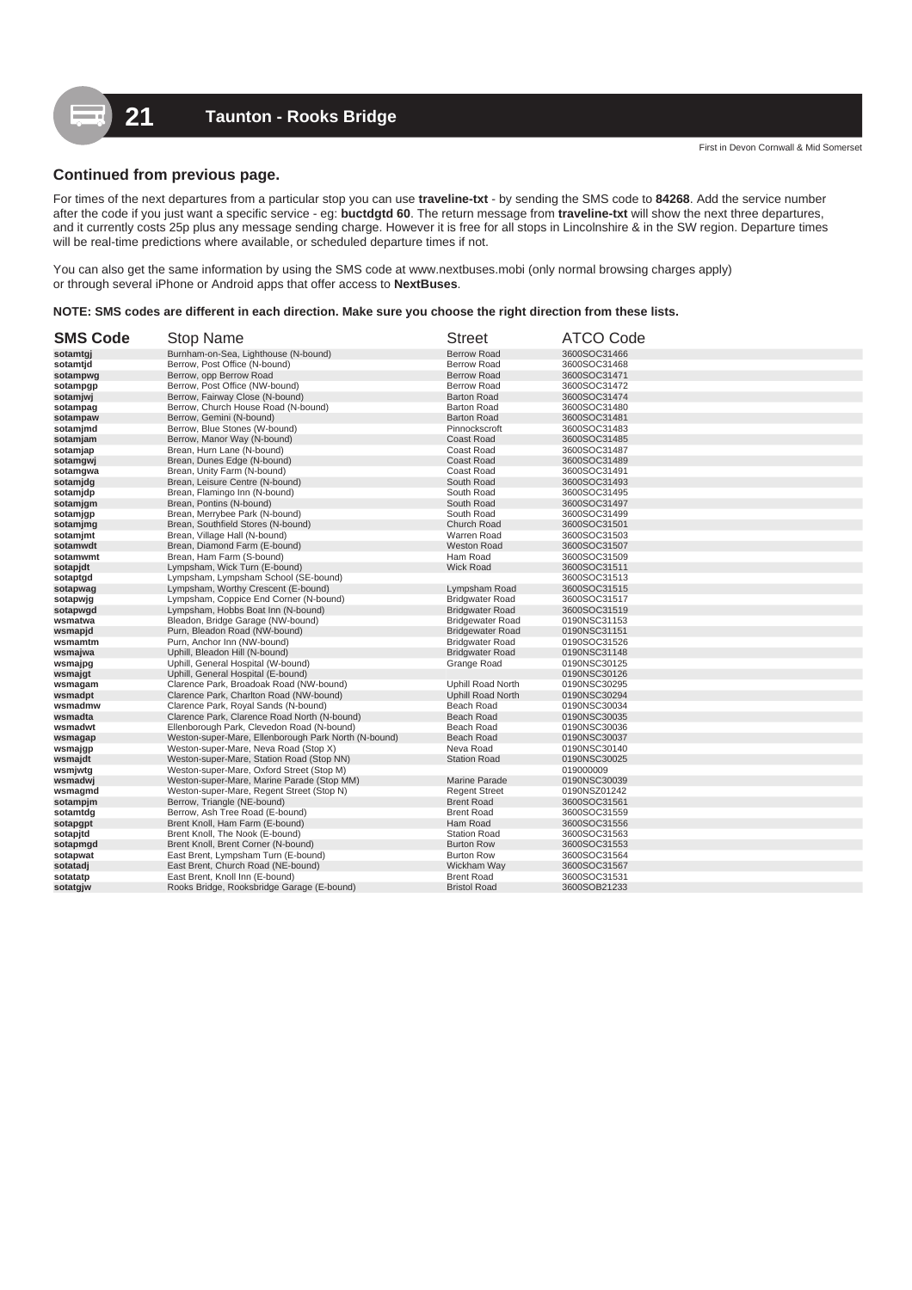# **Continued from previous page.**

For times of the next departures from a particular stop you can use **traveline-txt** - by sending the SMS code to **84268**. Add the service number after the code if you just want a specific service - eg: **buctdgtd 60**. The return message from **traveline-txt** will show the next three departures, and it currently costs 25p plus any message sending charge. However it is free for all stops in Lincolnshire & in the SW region. Departure times will be real-time predictions where available, or scheduled departure times if not.

You can also get the same information by using the SMS code at www.nextbuses.mobi (only normal browsing charges apply) or through several iPhone or Android apps that offer access to **NextBuses**.

#### **NOTE: SMS codes are different in each direction. Make sure you choose the right direction from these lists.**

| <b>SMS Code</b> | <b>Stop Name</b>                                     | <b>Street</b>            | <b>ATCO Code</b> |
|-----------------|------------------------------------------------------|--------------------------|------------------|
| sotamtgi        | Burnham-on-Sea, Lighthouse (N-bound)                 | <b>Berrow Road</b>       | 3600SOC31466     |
| sotamtjd        | Berrow, Post Office (N-bound)                        | <b>Berrow Road</b>       | 3600SOC31468     |
| sotampwg        | Berrow, opp Berrow Road                              | <b>Berrow Road</b>       | 3600SOC31471     |
| sotampgp        | Berrow, Post Office (NW-bound)                       | <b>Berrow Road</b>       | 3600SOC31472     |
| sotamjwj        | Berrow, Fairway Close (N-bound)                      | <b>Barton Road</b>       | 3600SOC31474     |
| sotampag        | Berrow, Church House Road (N-bound)                  | <b>Barton Road</b>       | 3600SOC31480     |
| sotampaw        | Berrow, Gemini (N-bound)                             | <b>Barton Road</b>       | 3600SOC31481     |
| sotamjmd        | Berrow, Blue Stones (W-bound)                        | Pinnockscroft            | 3600SOC31483     |
| sotamjam        | Berrow, Manor Way (N-bound)                          | <b>Coast Road</b>        | 3600SOC31485     |
| sotamjap        | Brean, Hurn Lane (N-bound)                           | Coast Road               | 3600SOC31487     |
| sotamgwj        | Brean, Dunes Edge (N-bound)                          | Coast Road               | 3600SOC31489     |
| sotamgwa        | Brean, Unity Farm (N-bound)                          | Coast Road               | 3600SOC31491     |
| sotamjdg        | Brean, Leisure Centre (N-bound)                      | South Road               | 3600SOC31493     |
| sotamjdp        | Brean, Flamingo Inn (N-bound)                        | South Road               | 3600SOC31495     |
| sotamjgm        | Brean, Pontins (N-bound)                             | South Road               | 3600SOC31497     |
| sotamjgp        | Brean, Merrybee Park (N-bound)                       | South Road               | 3600SOC31499     |
| sotamjmg        | Brean, Southfield Stores (N-bound)                   | Church Road              | 3600SOC31501     |
| sotamjmt        | Brean, Village Hall (N-bound)                        | Warren Road              | 3600SOC31503     |
| sotamwdt        | Brean, Diamond Farm (E-bound)                        | <b>Weston Road</b>       | 3600SOC31507     |
| sotamwmt        | Brean, Ham Farm (S-bound)                            | Ham Road                 | 3600SOC31509     |
| sotapjdt        | Lympsham, Wick Turn (E-bound)                        | <b>Wick Road</b>         | 3600SOC31511     |
| sotaptgd        | Lympsham, Lympsham School (SE-bound)                 |                          | 3600SOC31513     |
| sotapwag        | Lympsham, Worthy Crescent (E-bound)                  | Lympsham Road            | 3600SOC31515     |
| sotapwjg        | Lympsham, Coppice End Corner (N-bound)               | <b>Bridgwater Road</b>   | 3600SOC31517     |
| sotapwgd        | Lympsham, Hobbs Boat Inn (N-bound)                   | <b>Bridgwater Road</b>   | 3600SOC31519     |
| wsmatwa         | Bleadon, Bridge Garage (NW-bound)                    | <b>Bridgewater Road</b>  | 0190NSC31153     |
| wsmapjd         | Purn, Bleadon Road (NW-bound)                        | <b>Bridgewater Road</b>  | 0190NSC31151     |
| wsmamtm         | Purn, Anchor Inn (NW-bound)                          | <b>Bridgwater Road</b>   | 0190SOC31526     |
| wsmajwa         | Uphill, Bleadon Hill (N-bound)                       | <b>Bridgwater Road</b>   | 0190NSC31148     |
| wsmajpg         | Uphill, General Hospital (W-bound)                   | Grange Road              | 0190NSC30125     |
| wsmajgt         | Uphill, General Hospital (E-bound)                   |                          | 0190NSC30126     |
| wsmagam         | Clarence Park, Broadoak Road (NW-bound)              | Uphill Road North        | 0190NSC30295     |
| wsmadpt         | Clarence Park, Charlton Road (NW-bound)              | <b>Uphill Road North</b> | 0190NSC30294     |
| wsmadmw         | Clarence Park, Royal Sands (N-bound)                 | Beach Road               | 0190NSC30034     |
| wsmadta         | Clarence Park, Clarence Road North (N-bound)         | <b>Beach Road</b>        | 0190NSC30035     |
| wsmadwt         | Ellenborough Park, Clevedon Road (N-bound)           | Beach Road               | 0190NSC30036     |
| wsmagap         | Weston-super-Mare, Ellenborough Park North (N-bound) | <b>Beach Road</b>        | 0190NSC30037     |
| wsmajgp         | Weston-super-Mare, Neva Road (Stop X)                | Neva Road                | 0190NSC30140     |
| wsmajdt         | Weston-super-Mare, Station Road (Stop NN)            | <b>Station Road</b>      | 0190NSC30025     |
| wsmjwtg         | Weston-super-Mare, Oxford Street (Stop M)            |                          | 019000009        |
| wsmadwj         | Weston-super-Mare, Marine Parade (Stop MM)           | <b>Marine Parade</b>     | 0190NSC30039     |
| wsmagmd         | Weston-super-Mare, Regent Street (Stop N)            | <b>Regent Street</b>     | 0190NSZ01242     |
| sotampjm        | Berrow, Triangle (NE-bound)                          | <b>Brent Road</b>        | 3600SOC31561     |
| sotamtdg        | Berrow, Ash Tree Road (E-bound)                      | <b>Brent Road</b>        | 3600SOC31559     |
| sotapgpt        | Brent Knoll, Ham Farm (E-bound)                      | Ham Road                 | 3600SOC31556     |
| sotapjtd        | Brent Knoll, The Nook (E-bound)                      | <b>Station Road</b>      | 3600SOC31563     |
| sotapmgd        | Brent Knoll, Brent Corner (N-bound)                  | <b>Burton Row</b>        | 3600SOC31553     |
| sotapwat        | East Brent, Lympsham Turn (E-bound)                  | <b>Burton Row</b>        | 3600SOC31564     |
| sotatadj        | East Brent, Church Road (NE-bound)                   | Wickham Way              | 3600SOC31567     |
| sotatatp        | East Brent, Knoll Inn (E-bound)                      | <b>Brent Road</b>        | 3600SOC31531     |
| sotatgjw        | Rooks Bridge, Rooksbridge Garage (E-bound)           | <b>Bristol Road</b>      | 3600SOB21233     |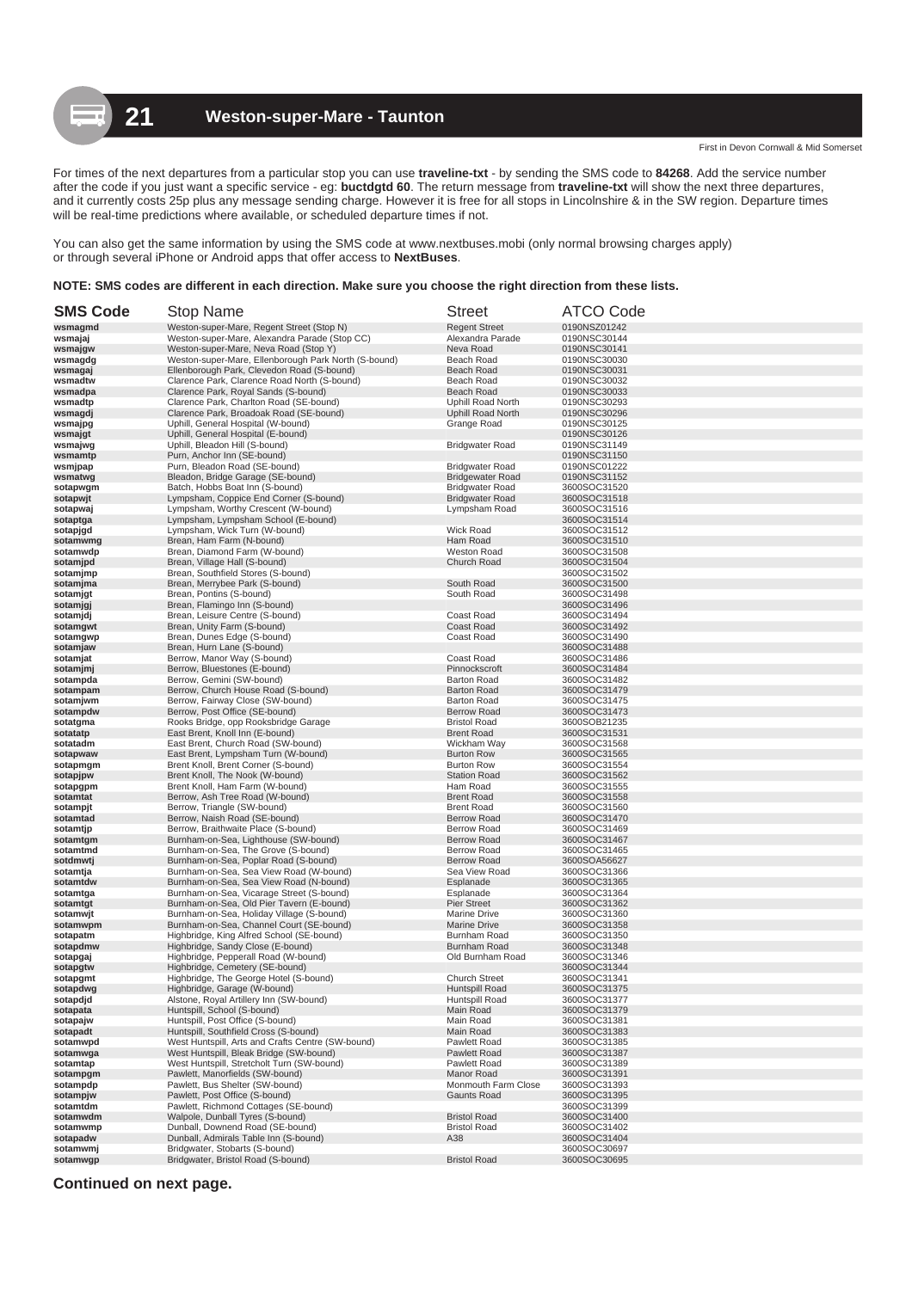For times of the next departures from a particular stop you can use **traveline-txt** - by sending the SMS code to **84268**. Add the service number after the code if you just want a specific service - eg: **buctdgtd 60**. The return message from **traveline-txt** will show the next three departures, and it currently costs 25p plus any message sending charge. However it is free for all stops in Lincolnshire & in the SW region. Departure times will be real-time predictions where available, or scheduled departure times if not.

You can also get the same information by using the SMS code at www.nextbuses.mobi (only normal browsing charges apply) or through several iPhone or Android apps that offer access to **NextBuses**.

### **NOTE: SMS codes are different in each direction. Make sure you choose the right direction from these lists.**

| <b>SMS Code</b>      | <b>Stop Name</b>                                                                   | <b>Street</b>                                 | <b>ATCO Code</b>             |
|----------------------|------------------------------------------------------------------------------------|-----------------------------------------------|------------------------------|
| wsmagmd              | Weston-super-Mare, Regent Street (Stop N)                                          | <b>Regent Street</b>                          | 0190NSZ01242                 |
| wsmajaj              | Weston-super-Mare, Alexandra Parade (Stop CC)                                      | Alexandra Parade                              | 0190NSC30144                 |
| wsmajgw              | Weston-super-Mare, Neva Road (Stop Y)                                              | Neva Road                                     | 0190NSC30141                 |
| wsmagdg              | Weston-super-Mare, Ellenborough Park North (S-bound)                               | Beach Road                                    | 0190NSC30030                 |
| wsmagaj              | Ellenborough Park, Clevedon Road (S-bound)                                         | Beach Road                                    | 0190NSC30031                 |
| wsmadtw              | Clarence Park, Clarence Road North (S-bound)                                       | Beach Road                                    | 0190NSC30032                 |
| wsmadpa              | Clarence Park, Royal Sands (S-bound)                                               | Beach Road                                    | 0190NSC30033                 |
| wsmadtp              | Clarence Park, Charlton Road (SE-bound)<br>Clarence Park, Broadoak Road (SE-bound) | Uphill Road North<br><b>Uphill Road North</b> | 0190NSC30293                 |
| wsmagdj<br>wsmajpg   | Uphill, General Hospital (W-bound)                                                 | Grange Road                                   | 0190NSC30296<br>0190NSC30125 |
| wsmajgt              | Uphill, General Hospital (E-bound)                                                 |                                               | 0190NSC30126                 |
| wsmajwg              | Uphill, Bleadon Hill (S-bound)                                                     | <b>Bridgwater Road</b>                        | 0190NSC31149                 |
| wsmamtp              | Purn, Anchor Inn (SE-bound)                                                        |                                               | 0190NSC31150                 |
| wsmjpap              | Purn, Bleadon Road (SE-bound)                                                      | <b>Bridgwater Road</b>                        | 0190NSC01222                 |
| wsmatwg              | Bleadon, Bridge Garage (SE-bound)                                                  | <b>Bridgewater Road</b>                       | 0190NSC31152                 |
| sotapwgm             | Batch, Hobbs Boat Inn (S-bound)                                                    | <b>Bridgwater Road</b>                        | 3600SOC31520                 |
| sotapwjt             | Lympsham, Coppice End Corner (S-bound)                                             | <b>Bridgwater Road</b>                        | 3600SOC31518                 |
| sotapwaj             | Lympsham, Worthy Crescent (W-bound)                                                | Lympsham Road                                 | 3600SOC31516                 |
| sotaptga             | Lympsham, Lympsham School (E-bound)                                                |                                               | 3600SOC31514                 |
| sotapjgd             | Lympsham, Wick Turn (W-bound)                                                      | Wick Road                                     | 3600SOC31512                 |
| sotamwmg             | Brean, Ham Farm (N-bound)                                                          | Ham Road                                      | 3600SOC31510                 |
| sotamwdp<br>sotamjpd | Brean, Diamond Farm (W-bound)<br>Brean, Village Hall (S-bound)                     | Weston Road<br>Church Road                    | 3600SOC31508<br>3600SOC31504 |
|                      | Brean, Southfield Stores (S-bound)                                                 |                                               | 3600SOC31502                 |
| sotamjmp<br>sotamjma | Brean, Merrybee Park (S-bound)                                                     | South Road                                    | 3600SOC31500                 |
| sotamjgt             | Brean, Pontins (S-bound)                                                           | South Road                                    | 3600SOC31498                 |
| sotamjgj             | Brean, Flamingo Inn (S-bound)                                                      |                                               | 3600SOC31496                 |
| sotamjdj             | Brean, Leisure Centre (S-bound)                                                    | Coast Road                                    | 3600SOC31494                 |
| sotamgwt             | Brean, Unity Farm (S-bound)                                                        | <b>Coast Road</b>                             | 3600SOC31492                 |
| sotamgwp             | Brean, Dunes Edge (S-bound)                                                        | Coast Road                                    | 3600SOC31490                 |
| sotamjaw             | Brean, Hurn Lane (S-bound)                                                         |                                               | 3600SOC31488                 |
| sotamjat             | Berrow, Manor Way (S-bound)                                                        | Coast Road                                    | 3600SOC31486                 |
| sotamjmj             | Berrow, Bluestones (E-bound)                                                       | Pinnockscrof                                  | 3600SOC31484                 |
| sotampda             | Berrow, Gemini (SW-bound)                                                          | <b>Barton Road</b>                            | 3600SOC31482                 |
| sotampam             | Berrow, Church House Road (S-bound)                                                | <b>Barton Road</b>                            | 3600SOC31479                 |
| sotamjwm<br>sotampdw | Berrow, Fairway Close (SW-bound)<br>Berrow, Post Office (SE-bound)                 | <b>Barton Road</b><br><b>Berrow Road</b>      | 3600SOC31475<br>3600SOC31473 |
| sotatgma             | Rooks Bridge, opp Rooksbridge Garage                                               | <b>Bristol Road</b>                           | 3600SOB21235                 |
| sotatatp             | East Brent, Knoll Inn (E-bound)                                                    | <b>Brent Road</b>                             | 3600SOC31531                 |
| sotatadm             | East Brent, Church Road (SW-bound)                                                 | Wickham Way                                   | 3600SOC31568                 |
| sotapwaw             | East Brent, Lympsham Turn (W-bound)                                                | <b>Burton Row</b>                             | 3600SOC31565                 |
| sotapmgm             | Brent Knoll, Brent Corner (S-bound)                                                | <b>Burton Row</b>                             | 3600SOC31554                 |
| sotapjpw             | Brent Knoll, The Nook (W-bound)                                                    | <b>Station Road</b>                           | 3600SOC31562                 |
| sotapgpm             | Brent Knoll, Ham Farm (W-bound)                                                    | Ham Road                                      | 3600SOC31555                 |
| sotamtat             | Berrow, Ash Tree Road (W-bound)                                                    | <b>Brent Road</b>                             | 3600SOC31558                 |
| sotampjt             | Berrow, Triangle (SW-bound)                                                        | <b>Brent Road</b>                             | 3600SOC31560                 |
| sotamtad             | Berrow, Naish Road (SE-bound)                                                      | <b>Berrow Road</b>                            | 3600SOC31470                 |
| sotamtjp             | Berrow, Braithwaite Place (S-bound)                                                | <b>Berrow Road</b><br><b>Berrow Road</b>      | 3600SOC31469<br>3600SOC31467 |
| sotamtgm<br>sotamtmd | Burnham-on-Sea, Lighthouse (SW-bound)<br>Burnham-on-Sea, The Grove (S-bound)       | <b>Berrow Road</b>                            | 3600SOC31465                 |
| sotdmwtj             | Burnham-on-Sea, Poplar Road (S-bound)                                              | <b>Berrow Road</b>                            | 3600SOA56627                 |
| sotamtja             | Burnham-on-Sea, Sea View Road (W-bound)                                            | Sea View Road                                 | 3600SOC31366                 |
| sotamtdw             | Burnham-on-Sea, Sea View Road (N-bound)                                            | Esplanade                                     | 3600SOC31365                 |
| sotamtga             | Burnham-on-Sea, Vicarage Street (S-bound)                                          | Esplanade                                     | 3600SOC31364                 |
| sotamtgt             | Burnham-on-Sea, Old Pier Tavern (E-bound)                                          | <b>Pier Street</b>                            | 3600SOC31362                 |
| sotamwit             | Burnham-on-Sea, Holiday Village (S-bound)                                          | Marine Drive                                  | 3600SOC31360                 |
| sotamwpm             | Burnham-on-Sea, Channel Court (SE-bound)                                           | <b>Marine Drive</b>                           | 3600SOC31358                 |
| sotapatm             | Highbridge, King Alfred School (SE-bound)                                          | Burnham Road                                  | 3600SOC31350                 |
| sotapdmw             | Highbridge, Sandy Close (E-bound)                                                  | Burnham Road                                  | 3600SOC31348                 |
| sotapgaj             | Highbridge, Pepperall Road (W-bound)                                               | Old Burnham Road                              | 3600SOC31346                 |
| sotapgtw             | Highbridge, Cemetery (SE-bound)<br>Highbridge, The George Hotel (S-bound)          | <b>Church Street</b>                          | 3600SOC31344<br>3600SOC31341 |
| sotapgmt             | Highbridge, Garage (W-bound)                                                       | Huntspill Road                                | 3600SOC31375                 |
| sotapɑwg<br>sotapdjd | Alstone, Royal Artillery Inn (SW-bound)                                            | Huntspill Road                                | 3600SOC31377                 |
| sotapata             | Huntspill, School (S-bound)                                                        | Main Road                                     | 3600SOC31379                 |
| sotapajw             | Huntspill, Post Office (S-bound)                                                   | Main Road                                     | 3600SOC31381                 |
| sotapadt             | Huntspill, Southfield Cross (S-bound)                                              | Main Road                                     | 3600SOC31383                 |
| sotamwpd             | West Huntspill, Arts and Crafts Centre (SW-bound)                                  | Pawlett Road                                  | 3600SOC31385                 |
| sotamwga             | West Huntspill, Bleak Bridge (SW-bound)                                            | Pawlett Road                                  | 3600SOC31387                 |
| sotamtap             | West Huntspill, Stretcholt Turn (SW-bound)                                         | Pawlett Road                                  | 3600SOC31389                 |
| sotampgm             | Pawlett, Manorfields (SW-bound)                                                    | Manor Road                                    | 3600SOC31391                 |
| sotampdp             | Pawlett, Bus Shelter (SW-bound)                                                    | Monmouth Farm Close                           | 3600SOC31393                 |
| sotampjw             | Pawlett, Post Office (S-bound)                                                     | <b>Gaunts Road</b>                            | 3600SOC31395<br>3600SOC31399 |
| sotamtdm<br>sotamwdm | Pawlett, Richmond Cottages (SE-bound)<br>Walpole, Dunball Tyres (S-bound)          | <b>Bristol Road</b>                           | 3600SOC31400                 |
| sotamwmp             | Dunball, Downend Road (SE-bound)                                                   | <b>Bristol Road</b>                           | 3600SOC31402                 |
| sotapadw             | Dunball, Admirals Table Inn (S-bound)                                              | A38                                           | 3600SOC31404                 |
| sotamwmj             | Bridgwater, Stobarts (S-bound)                                                     |                                               | 3600SOC30697                 |
| sotamwgp             | Bridgwater, Bristol Road (S-bound)                                                 | <b>Bristol Road</b>                           | 3600SOC30695                 |

**Continued on next page.**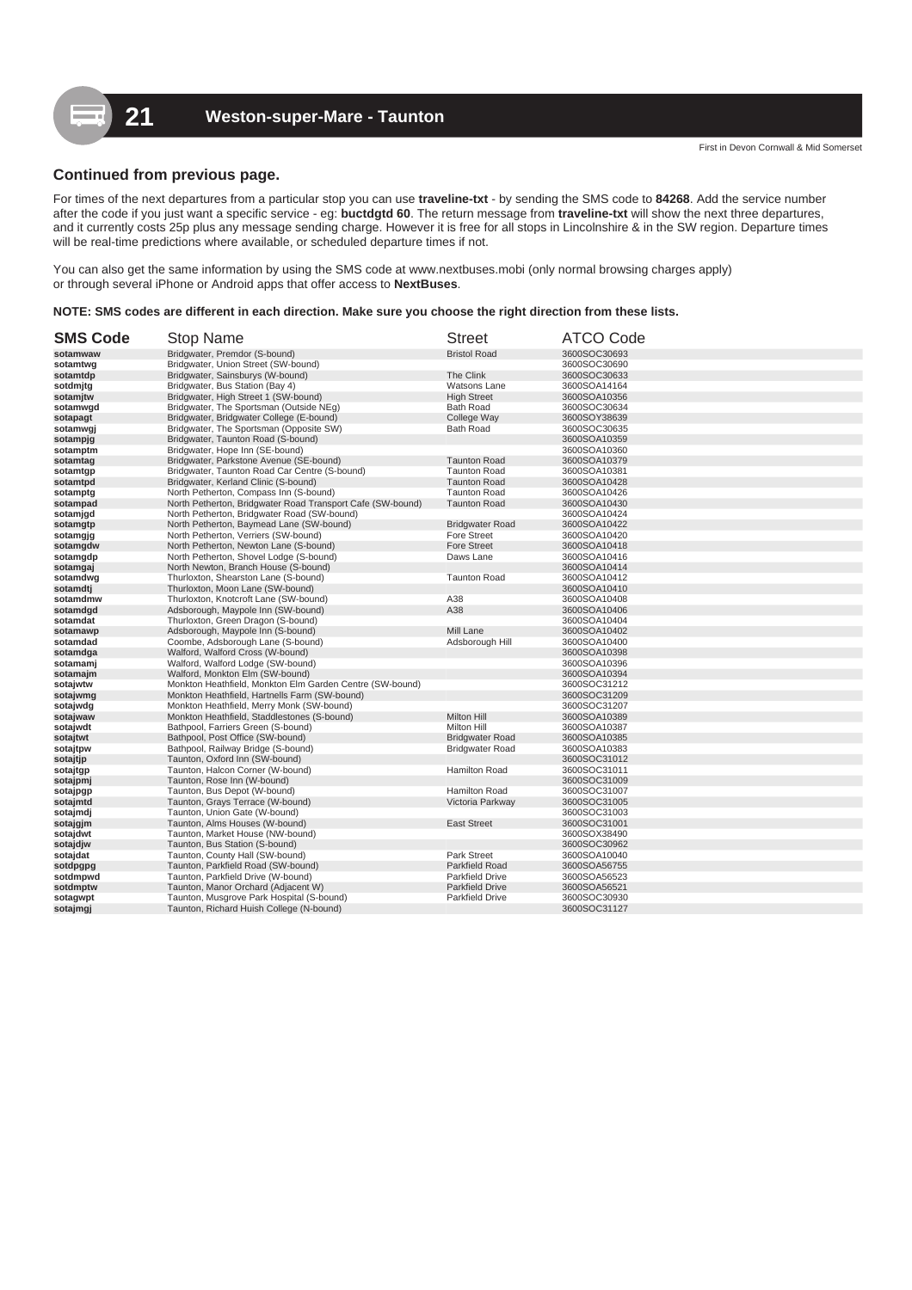# **Continued from previous page.**

For times of the next departures from a particular stop you can use **traveline-txt** - by sending the SMS code to **84268**. Add the service number after the code if you just want a specific service - eg: **buctdgtd 60**. The return message from **traveline-txt** will show the next three departures, and it currently costs 25p plus any message sending charge. However it is free for all stops in Lincolnshire & in the SW region. Departure times will be real-time predictions where available, or scheduled departure times if not.

You can also get the same information by using the SMS code at www.nextbuses.mobi (only normal browsing charges apply) or through several iPhone or Android apps that offer access to **NextBuses**.

#### **NOTE: SMS codes are different in each direction. Make sure you choose the right direction from these lists.**

| <b>SMS Code</b> | <b>Stop Name</b>                                           | <b>Street</b>          | <b>ATCO Code</b>             |
|-----------------|------------------------------------------------------------|------------------------|------------------------------|
| sotamwaw        | Bridgwater, Premdor (S-bound)                              | <b>Bristol Road</b>    | 3600SOC30693                 |
| sotamtwg        | Bridgwater, Union Street (SW-bound)                        |                        | 3600SOC30690                 |
| sotamtdp        | Bridgwater, Sainsburys (W-bound)                           | The Clink              | 3600SOC30633                 |
| sotdmitg        | Bridgwater, Bus Station (Bay 4)                            | Watsons Lane           | 3600SOA14164                 |
| sotamitw        | Bridgwater, High Street 1 (SW-bound)                       | <b>High Street</b>     | 3600SOA10356                 |
| sotamwgd        | Bridgwater, The Sportsman (Outside NEg)                    | <b>Bath Road</b>       | 3600SOC30634                 |
| sotapagt        | Bridgwater, Bridgwater College (E-bound)                   | College Way            | 3600SOY38639                 |
| sotamwgj        | Bridgwater, The Sportsman (Opposite SW)                    | <b>Bath Road</b>       | 3600SOC30635                 |
| sotampjg        | Bridgwater, Taunton Road (S-bound)                         |                        | 3600SOA10359                 |
| sotamptm        | Bridgwater, Hope Inn (SE-bound)                            |                        | 3600SOA10360                 |
| sotamtag        | Bridgwater, Parkstone Avenue (SE-bound)                    | <b>Taunton Road</b>    | 3600SOA10379                 |
| sotamtgp        | Bridgwater, Taunton Road Car Centre (S-bound)              | <b>Taunton Road</b>    | 3600SOA10381                 |
| sotamtpd        | Bridgwater, Kerland Clinic (S-bound)                       | <b>Taunton Road</b>    | 3600SOA10428                 |
| sotamptg        | North Petherton, Compass Inn (S-bound)                     | <b>Taunton Road</b>    | 3600SOA10426                 |
| sotampad        | North Petherton, Bridgwater Road Transport Cafe (SW-bound) | <b>Taunton Road</b>    | 3600SOA10430                 |
| sotamjgd        | North Petherton, Bridgwater Road (SW-bound)                |                        | 3600SOA10424                 |
| sotamgtp        | North Petherton, Baymead Lane (SW-bound)                   | <b>Bridgwater Road</b> | 3600SOA10422                 |
| sotamgjg        | North Petherton, Verriers (SW-bound)                       | <b>Fore Street</b>     | 3600SOA10420                 |
| sotamgdw        | North Petherton, Newton Lane (S-bound)                     | <b>Fore Street</b>     | 3600SOA10418                 |
| sotamgdp        | North Petherton, Shovel Lodge (S-bound)                    | Daws Lane              | 3600SOA10416                 |
| sotamgaj        | North Newton, Branch House (S-bound)                       |                        | 3600SOA10414                 |
| sotamdwg        | Thurloxton, Shearston Lane (S-bound)                       | <b>Taunton Road</b>    | 3600SOA10412                 |
| sotamdtj        | Thurloxton, Moon Lane (SW-bound)                           |                        | 3600SOA10410                 |
| sotamdmw        | Thurloxton, Knotcroft Lane (SW-bound)                      | A38                    | 3600SOA10408                 |
| sotamdgd        | Adsborough, Maypole Inn (SW-bound)                         | A38                    | 3600SOA10406                 |
| sotamdat        | Thurloxton, Green Dragon (S-bound)                         |                        | 3600SOA10404                 |
| sotamawp        | Adsborough, Maypole Inn (S-bound)                          | Mill Lane              | 3600SOA10402                 |
| sotamdad        | Coombe, Adsborough Lane (S-bound)                          | Adsborough Hill        | 3600SOA10400                 |
| sotamdga        | Walford, Walford Cross (W-bound)                           |                        | 3600SOA10398                 |
| sotamamj        | Walford, Walford Lodge (SW-bound)                          |                        | 3600SOA10396                 |
| sotamajm        | Walford, Monkton Elm (SW-bound)                            |                        | 3600SOA10394                 |
| sotajwtw        | Monkton Heathfield, Monkton Elm Garden Centre (SW-bound)   |                        | 3600SOC31212                 |
| sotajwmg        | Monkton Heathfield, Hartnells Farm (SW-bound)              |                        | 3600SOC31209                 |
| sotajwdg        | Monkton Heathfield, Merry Monk (SW-bound)                  |                        | 3600SOC31207                 |
| sotajwaw        | Monkton Heathfield, Staddlestones (S-bound)                | <b>Milton Hill</b>     | 3600SOA10389                 |
| sotajwdt        | Bathpool, Farriers Green (S-bound)                         | Milton Hill            | 3600SOA10387                 |
| sotajtwt        | Bathpool, Post Office (SW-bound)                           | <b>Bridgwater Road</b> | 3600SOA10385                 |
| sotajtpw        | Bathpool, Railway Bridge (S-bound)                         | <b>Bridgwater Road</b> | 3600SOA10383                 |
| sotajtjp        | Taunton, Oxford Inn (SW-bound)                             |                        | 3600SOC31012                 |
|                 | Taunton, Halcon Corner (W-bound)                           | Hamilton Road          |                              |
| sotajtgp        |                                                            |                        | 3600SOC31011<br>3600SOC31009 |
| sotajpmj        | Taunton, Rose Inn (W-bound)                                | <b>Hamilton Road</b>   | 3600SOC31007                 |
| sotajpgp        | Taunton, Bus Depot (W-bound)                               |                        | 3600SOC31005                 |
| sotajmtd        | Taunton, Grays Terrace (W-bound)                           | Victoria Parkway       |                              |
| sotajmdj        | Taunton, Union Gate (W-bound)                              |                        | 3600SOC31003                 |
| sotajgjm        | Taunton, Alms Houses (W-bound)                             | <b>East Street</b>     | 3600SOC31001                 |
| sotajdwt        | Taunton, Market House (NW-bound)                           |                        | 3600SOX38490                 |
| sotajdjw        | Taunton, Bus Station (S-bound)                             |                        | 3600SOC30962                 |
| sotajdat        | Taunton, County Hall (SW-bound)                            | <b>Park Street</b>     | 3600SOA10040                 |
| sotdpgpg        | Taunton, Parkfield Road (SW-bound)                         | <b>Parkfield Road</b>  | 3600SOA56755                 |
| sotdmpwd        | Taunton, Parkfield Drive (W-bound)                         | <b>Parkfield Drive</b> | 3600SOA56523                 |
| sotdmptw        | Taunton, Manor Orchard (Adjacent W)                        | <b>Parkfield Drive</b> | 3600SOA56521                 |
| sotagwpt        | Taunton, Musgrove Park Hospital (S-bound)                  | <b>Parkfield Drive</b> | 3600SOC30930                 |
| sotajmgj        | Taunton, Richard Huish College (N-bound)                   |                        | 3600SOC31127                 |